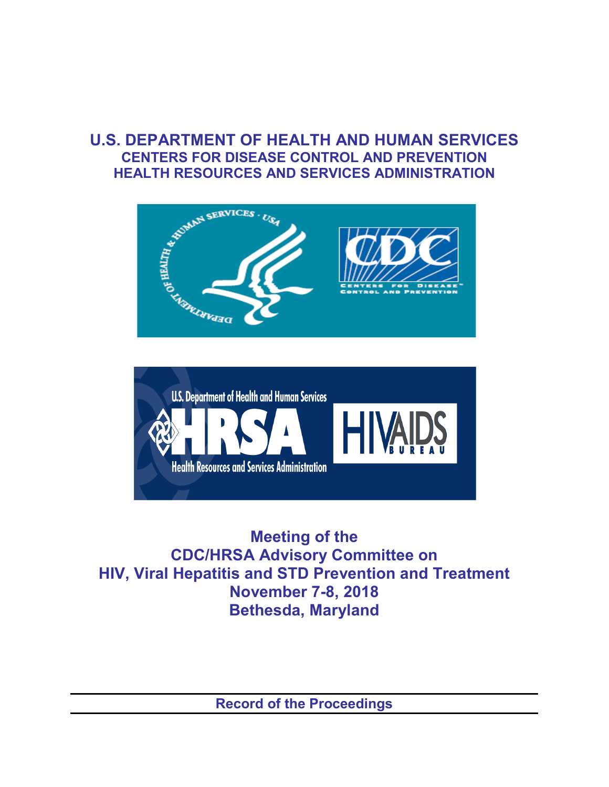## **U.S. DEPARTMENT OF HEALTH AND HUMAN SERVICES CENTERS FOR DISEASE CONTROL AND PREVENTION HEALTH RESOURCES AND SERVICES ADMINISTRATION**





**Meeting of the CDC/HRSA Advisory Committee on HIV, Viral Hepatitis and STD Prevention and Treatment November 7-8, 2018 Bethesda, Maryland** 

**Record of the Proceedings**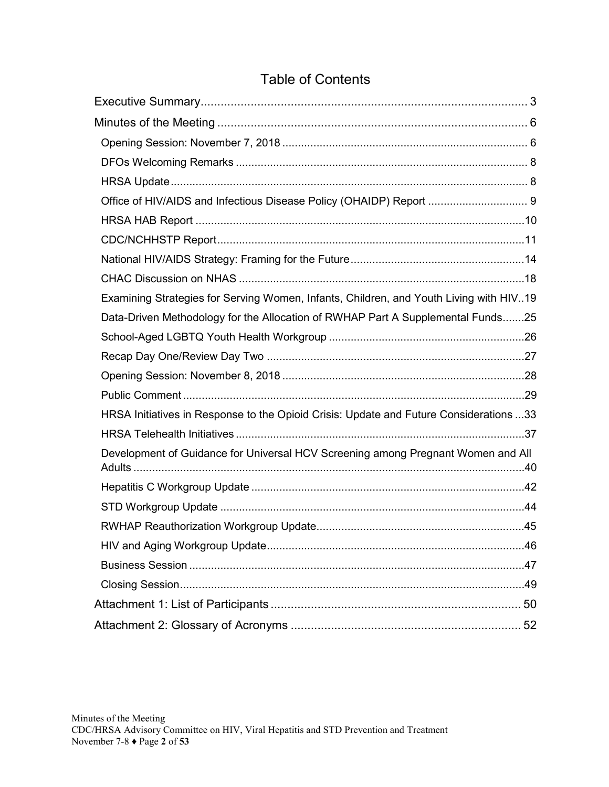| Examining Strategies for Serving Women, Infants, Children, and Youth Living with HIV19 |  |
|----------------------------------------------------------------------------------------|--|
| Data-Driven Methodology for the Allocation of RWHAP Part A Supplemental Funds25        |  |
|                                                                                        |  |
|                                                                                        |  |
|                                                                                        |  |
|                                                                                        |  |
| HRSA Initiatives in Response to the Opioid Crisis: Update and Future Considerations 33 |  |
|                                                                                        |  |
| Development of Guidance for Universal HCV Screening among Pregnant Women and All       |  |
|                                                                                        |  |
|                                                                                        |  |
|                                                                                        |  |
|                                                                                        |  |
|                                                                                        |  |
|                                                                                        |  |
|                                                                                        |  |
|                                                                                        |  |

# Table of Contents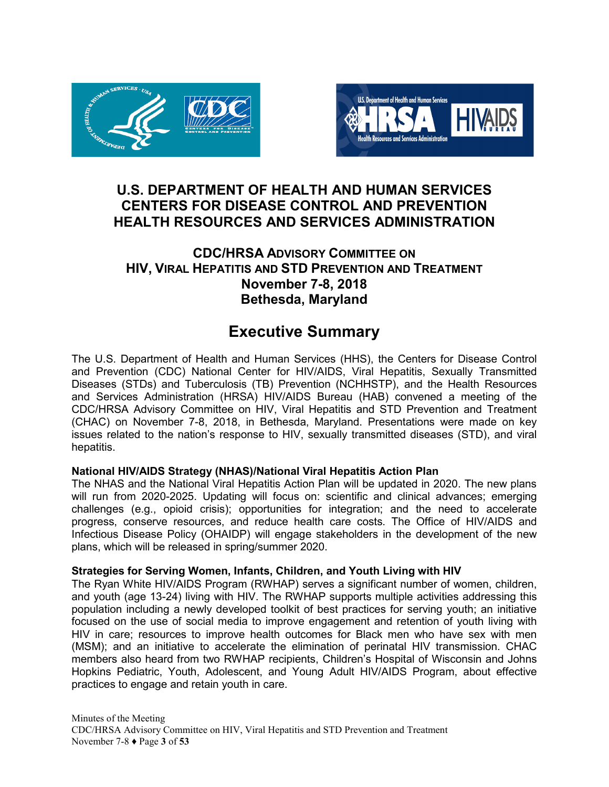



### **U.S. DEPARTMENT OF HEALTH AND HUMAN SERVICES CENTERS FOR DISEASE CONTROL AND PREVENTION HEALTH RESOURCES AND SERVICES ADMINISTRATION**

### **CDC/HRSA ADVISORY COMMITTEE ON HIV, VIRAL HEPATITIS AND STD PREVENTION AND TREATMENT November 7-8, 2018 Bethesda, Maryland**

# **Executive Summary**

<span id="page-2-0"></span>The U.S. Department of Health and Human Services (HHS), the Centers for Disease Control and Prevention (CDC) National Center for HIV/AIDS, Viral Hepatitis, Sexually Transmitted Diseases (STDs) and Tuberculosis (TB) Prevention (NCHHSTP), and the Health Resources and Services Administration (HRSA) HIV/AIDS Bureau (HAB) convened a meeting of the CDC/HRSA Advisory Committee on HIV, Viral Hepatitis and STD Prevention and Treatment (CHAC) on November 7-8, 2018, in Bethesda, Maryland. Presentations were made on key issues related to the nation's response to HIV, sexually transmitted diseases (STD), and viral hepatitis.

#### **National HIV/AIDS Strategy (NHAS)/National Viral Hepatitis Action Plan**

The NHAS and the National Viral Hepatitis Action Plan will be updated in 2020. The new plans will run from 2020-2025. Updating will focus on: scientific and clinical advances; emerging challenges (e.g., opioid crisis); opportunities for integration; and the need to accelerate progress, conserve resources, and reduce health care costs. The Office of HIV/AIDS and Infectious Disease Policy (OHAIDP) will engage stakeholders in the development of the new plans, which will be released in spring/summer 2020.

#### **Strategies for Serving Women, Infants, Children, and Youth Living with HIV**

The Ryan White HIV/AIDS Program (RWHAP) serves a significant number of women, children, and youth (age 13-24) living with HIV. The RWHAP supports multiple activities addressing this population including a newly developed toolkit of best practices for serving youth; an initiative focused on the use of social media to improve engagement and retention of youth living with HIV in care; resources to improve health outcomes for Black men who have sex with men (MSM); and an initiative to accelerate the elimination of perinatal HIV transmission. CHAC members also heard from two RWHAP recipients, Children's Hospital of Wisconsin and Johns Hopkins Pediatric, Youth, Adolescent, and Young Adult HIV/AIDS Program, about effective practices to engage and retain youth in care.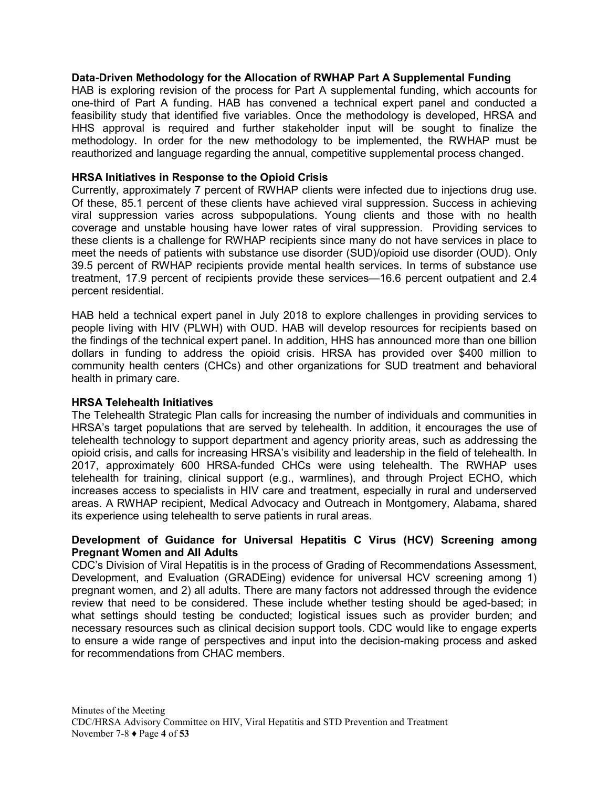#### **Data-Driven Methodology for the Allocation of RWHAP Part A Supplemental Funding**

HAB is exploring revision of the process for Part A supplemental funding, which accounts for one-third of Part A funding. HAB has convened a technical expert panel and conducted a feasibility study that identified five variables. Once the methodology is developed, HRSA and HHS approval is required and further stakeholder input will be sought to finalize the methodology. In order for the new methodology to be implemented, the RWHAP must be reauthorized and language regarding the annual, competitive supplemental process changed.

#### **HRSA Initiatives in Response to the Opioid Crisis**

Currently, approximately 7 percent of RWHAP clients were infected due to injections drug use. Of these, 85.1 percent of these clients have achieved viral suppression. Success in achieving viral suppression varies across subpopulations. Young clients and those with no health coverage and unstable housing have lower rates of viral suppression. Providing services to these clients is a challenge for RWHAP recipients since many do not have services in place to meet the needs of patients with substance use disorder (SUD)/opioid use disorder (OUD). Only 39.5 percent of RWHAP recipients provide mental health services. In terms of substance use treatment, 17.9 percent of recipients provide these services—16.6 percent outpatient and 2.4 percent residential.

HAB held a technical expert panel in July 2018 to explore challenges in providing services to people living with HIV (PLWH) with OUD. HAB will develop resources for recipients based on the findings of the technical expert panel. In addition, HHS has announced more than one billion dollars in funding to address the opioid crisis. HRSA has provided over \$400 million to community health centers (CHCs) and other organizations for SUD treatment and behavioral health in primary care.

#### **HRSA Telehealth Initiatives**

The Telehealth Strategic Plan calls for increasing the number of individuals and communities in HRSA's target populations that are served by telehealth. In addition, it encourages the use of telehealth technology to support department and agency priority areas, such as addressing the opioid crisis, and calls for increasing HRSA's visibility and leadership in the field of telehealth. In 2017, approximately 600 HRSA-funded CHCs were using telehealth. The RWHAP uses telehealth for training, clinical support (e.g., warmlines), and through Project ECHO, which increases access to specialists in HIV care and treatment, especially in rural and underserved areas. A RWHAP recipient, Medical Advocacy and Outreach in Montgomery, Alabama, shared its experience using telehealth to serve patients in rural areas.

#### **Development of Guidance for Universal Hepatitis C Virus (HCV) Screening among Pregnant Women and All Adults**

CDC's Division of Viral Hepatitis is in the process of Grading of Recommendations Assessment, Development, and Evaluation (GRADEing) evidence for universal HCV screening among 1) pregnant women, and 2) all adults. There are many factors not addressed through the evidence review that need to be considered. These include whether testing should be aged-based; in what settings should testing be conducted; logistical issues such as provider burden; and necessary resources such as clinical decision support tools. CDC would like to engage experts to ensure a wide range of perspectives and input into the decision-making process and asked for recommendations from CHAC members.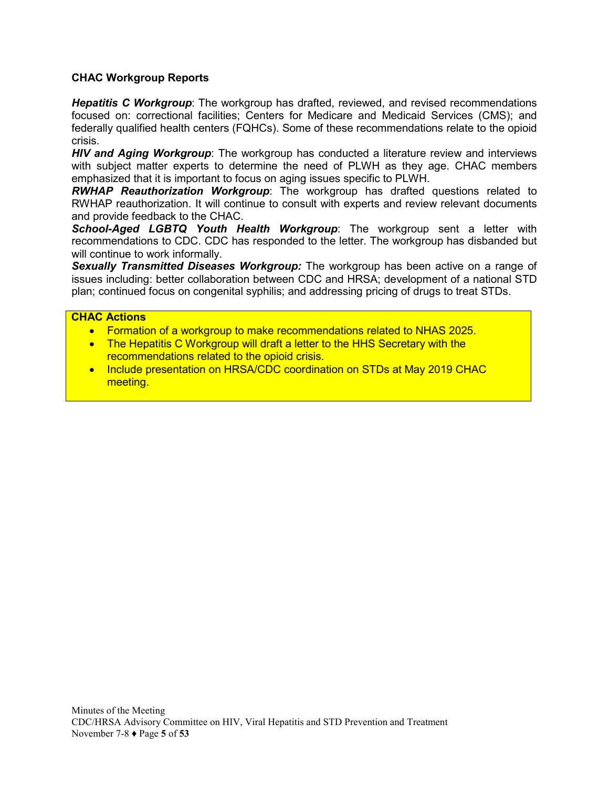#### **CHAC Workgroup Reports**

*Hepatitis C Workgroup*: The workgroup has drafted, reviewed, and revised recommendations focused on: correctional facilities; Centers for Medicare and Medicaid Services (CMS); and federally qualified health centers (FQHCs). Some of these recommendations relate to the opioid crisis.

*HIV and Aging Workgroup*: The workgroup has conducted a literature review and interviews with subject matter experts to determine the need of PLWH as they age. CHAC members emphasized that it is important to focus on aging issues specific to PLWH.

*RWHAP Reauthorization Workgroup*: The workgroup has drafted questions related to RWHAP reauthorization. It will continue to consult with experts and review relevant documents and provide feedback to the CHAC.

*School-Aged LGBTQ Youth Health Workgroup*: The workgroup sent a letter with recommendations to CDC. CDC has responded to the letter. The workgroup has disbanded but will continue to work informally.

*Sexually Transmitted Diseases Workgroup:* The workgroup has been active on a range of issues including: better collaboration between CDC and HRSA; development of a national STD plan; continued focus on congenital syphilis; and addressing pricing of drugs to treat STDs.

#### **CHAC Actions**

- Formation of a workgroup to make recommendations related to NHAS 2025.
- The Hepatitis C Workgroup will draft a letter to the HHS Secretary with the recommendations related to the opioid crisis.
- Include presentation on HRSA/CDC coordination on STDs at May 2019 CHAC meeting.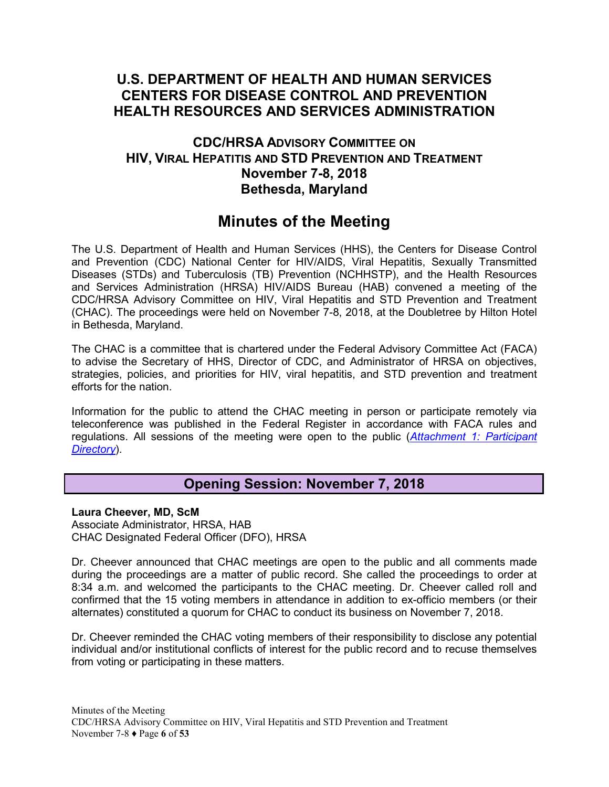### **U.S. DEPARTMENT OF HEALTH AND HUMAN SERVICES CENTERS FOR DISEASE CONTROL AND PREVENTION HEALTH RESOURCES AND SERVICES ADMINISTRATION**

### **CDC/HRSA ADVISORY COMMITTEE ON HIV, VIRAL HEPATITIS AND STD PREVENTION AND TREATMENT November 7-8, 2018 Bethesda, Maryland**

# **Minutes of the Meeting**

<span id="page-5-0"></span>The U.S. Department of Health and Human Services (HHS), the Centers for Disease Control and Prevention (CDC) National Center for HIV/AIDS, Viral Hepatitis, Sexually Transmitted Diseases (STDs) and Tuberculosis (TB) Prevention (NCHHSTP), and the Health Resources and Services Administration (HRSA) HIV/AIDS Bureau (HAB) convened a meeting of the CDC/HRSA Advisory Committee on HIV, Viral Hepatitis and STD Prevention and Treatment (CHAC). The proceedings were held on November 7-8, 2018, at the Doubletree by Hilton Hotel in Bethesda, Maryland.

The CHAC is a committee that is chartered under the Federal Advisory Committee Act (FACA) to advise the Secretary of HHS, Director of CDC, and Administrator of HRSA on objectives, strategies, policies, and priorities for HIV, viral hepatitis, and STD prevention and treatment efforts for the nation.

Information for the public to attend the CHAC meeting in person or participate remotely via teleconference was published in the Federal Register in accordance with FACA rules and regulations. All sessions of the meeting were open to the public (*[Attachment 1: Participant](#page-49-0)  [Directory](#page-49-0)*).

### **Opening Session: November 7, 2018**

#### <span id="page-5-1"></span>**Laura Cheever, MD, ScM**

Associate Administrator, HRSA, HAB CHAC Designated Federal Officer (DFO), HRSA

Dr. Cheever announced that CHAC meetings are open to the public and all comments made during the proceedings are a matter of public record. She called the proceedings to order at 8:34 a.m. and welcomed the participants to the CHAC meeting. Dr. Cheever called roll and confirmed that the 15 voting members in attendance in addition to ex-officio members (or their alternates) constituted a quorum for CHAC to conduct its business on November 7, 2018.

Dr. Cheever reminded the CHAC voting members of their responsibility to disclose any potential individual and/or institutional conflicts of interest for the public record and to recuse themselves from voting or participating in these matters.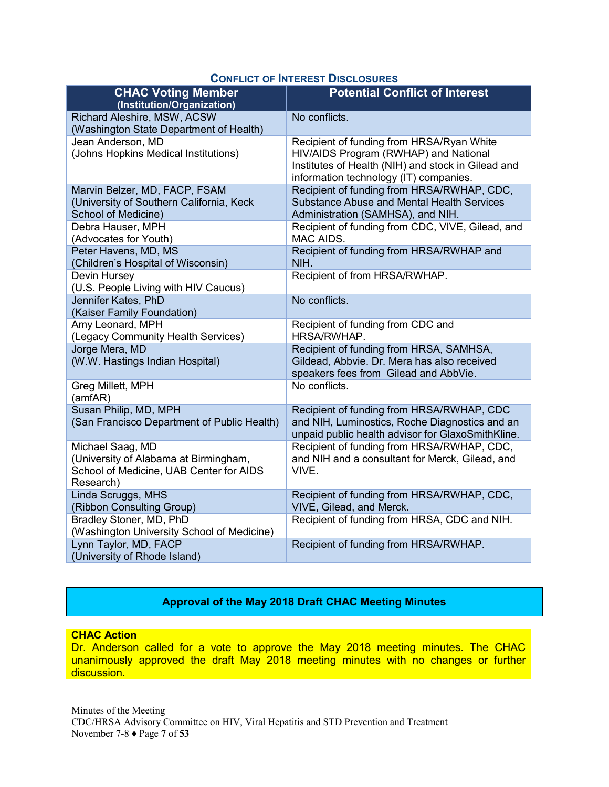#### **CONFLICT OF INTEREST DISCLOSURES**

| <b>CHAC Voting Member</b><br>(Institution/Organization)                                                           | <b>Potential Conflict of Interest</b>                                                                                                                                              |
|-------------------------------------------------------------------------------------------------------------------|------------------------------------------------------------------------------------------------------------------------------------------------------------------------------------|
| Richard Aleshire, MSW, ACSW<br>(Washington State Department of Health)                                            | No conflicts.                                                                                                                                                                      |
| Jean Anderson, MD<br>(Johns Hopkins Medical Institutions)                                                         | Recipient of funding from HRSA/Ryan White<br>HIV/AIDS Program (RWHAP) and National<br>Institutes of Health (NIH) and stock in Gilead and<br>information technology (IT) companies. |
| Marvin Belzer, MD, FACP, FSAM<br>(University of Southern California, Keck<br>School of Medicine)                  | Recipient of funding from HRSA/RWHAP, CDC,<br>Substance Abuse and Mental Health Services<br>Administration (SAMHSA), and NIH.                                                      |
| Debra Hauser, MPH<br>(Advocates for Youth)                                                                        | Recipient of funding from CDC, VIVE, Gilead, and<br>MAC AIDS.                                                                                                                      |
| Peter Havens, MD, MS<br>(Children's Hospital of Wisconsin)                                                        | Recipient of funding from HRSA/RWHAP and<br>NIH.                                                                                                                                   |
| Devin Hursey<br>(U.S. People Living with HIV Caucus)                                                              | Recipient of from HRSA/RWHAP.                                                                                                                                                      |
| Jennifer Kates, PhD<br>(Kaiser Family Foundation)                                                                 | No conflicts.                                                                                                                                                                      |
| Amy Leonard, MPH<br>(Legacy Community Health Services)                                                            | Recipient of funding from CDC and<br>HRSA/RWHAP.                                                                                                                                   |
| Jorge Mera, MD<br>(W.W. Hastings Indian Hospital)                                                                 | Recipient of funding from HRSA, SAMHSA,<br>Gildead, Abbvie. Dr. Mera has also received<br>speakers fees from Gilead and AbbVie.                                                    |
| Greg Millett, MPH<br>(amfAR)                                                                                      | No conflicts.                                                                                                                                                                      |
| Susan Philip, MD, MPH<br>(San Francisco Department of Public Health)                                              | Recipient of funding from HRSA/RWHAP, CDC<br>and NIH, Luminostics, Roche Diagnostics and an<br>unpaid public health advisor for GlaxoSmithKline.                                   |
| Michael Saag, MD<br>(University of Alabama at Birmingham,<br>School of Medicine, UAB Center for AIDS<br>Research) | Recipient of funding from HRSA/RWHAP, CDC,<br>and NIH and a consultant for Merck, Gilead, and<br>VIVE.                                                                             |
| Linda Scruggs, MHS<br>(Ribbon Consulting Group)                                                                   | Recipient of funding from HRSA/RWHAP, CDC,<br>VIVE, Gilead, and Merck.                                                                                                             |
| Bradley Stoner, MD, PhD<br>(Washington University School of Medicine)                                             | Recipient of funding from HRSA, CDC and NIH.                                                                                                                                       |
| Lynn Taylor, MD, FACP<br>(University of Rhode Island)                                                             | Recipient of funding from HRSA/RWHAP.                                                                                                                                              |

#### **Approval of the May 2018 Draft CHAC Meeting Minutes**

#### **CHAC Action**

Dr. Anderson called for a vote to approve the May 2018 meeting minutes. The CHAC unanimously approved the draft May 2018 meeting minutes with no changes or further discussion.

Minutes of the Meeting CDC/HRSA Advisory Committee on HIV, Viral Hepatitis and STD Prevention and Treatment November 7-8 ♦ Page **7** of **53**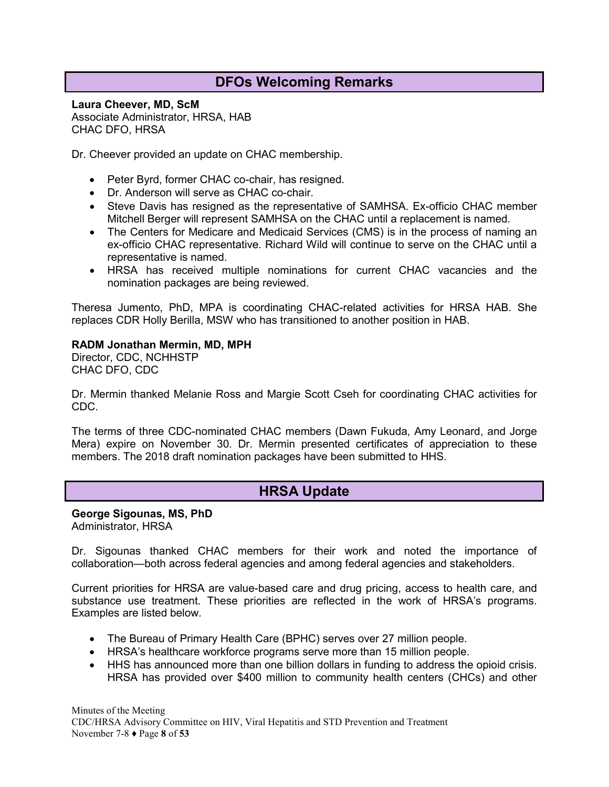### **DFOs Welcoming Remarks**

<span id="page-7-0"></span>**Laura Cheever, MD, ScM** Associate Administrator, HRSA, HAB CHAC DFO, HRSA

Dr. Cheever provided an update on CHAC membership.

- Peter Byrd, former CHAC co-chair, has resigned.
- Dr. Anderson will serve as CHAC co-chair.
- Steve Davis has resigned as the representative of SAMHSA. Ex-officio CHAC member Mitchell Berger will represent SAMHSA on the CHAC until a replacement is named.
- The Centers for Medicare and Medicaid Services (CMS) is in the process of naming an ex-officio CHAC representative. Richard Wild will continue to serve on the CHAC until a representative is named.
- HRSA has received multiple nominations for current CHAC vacancies and the nomination packages are being reviewed.

Theresa Jumento, PhD, MPA is coordinating CHAC-related activities for HRSA HAB. She replaces CDR Holly Berilla, MSW who has transitioned to another position in HAB.

#### **RADM Jonathan Mermin, MD, MPH**

Director, CDC, NCHHSTP CHAC DFO, CDC

Dr. Mermin thanked Melanie Ross and Margie Scott Cseh for coordinating CHAC activities for CDC.

<span id="page-7-1"></span>The terms of three CDC-nominated CHAC members (Dawn Fukuda, Amy Leonard, and Jorge Mera) expire on November 30. Dr. Mermin presented certificates of appreciation to these members. The 2018 draft nomination packages have been submitted to HHS.

### **HRSA Update**

**George Sigounas, MS, PhD** Administrator, HRSA

Dr. Sigounas thanked CHAC members for their work and noted the importance of collaboration—both across federal agencies and among federal agencies and stakeholders.

Current priorities for HRSA are value-based care and drug pricing, access to health care, and substance use treatment. These priorities are reflected in the work of HRSA's programs. Examples are listed below.

- The Bureau of Primary Health Care (BPHC) serves over 27 million people.
- HRSA's healthcare workforce programs serve more than 15 million people.
- HHS has announced more than one billion dollars in funding to address the opioid crisis. HRSA has provided over \$400 million to community health centers (CHCs) and other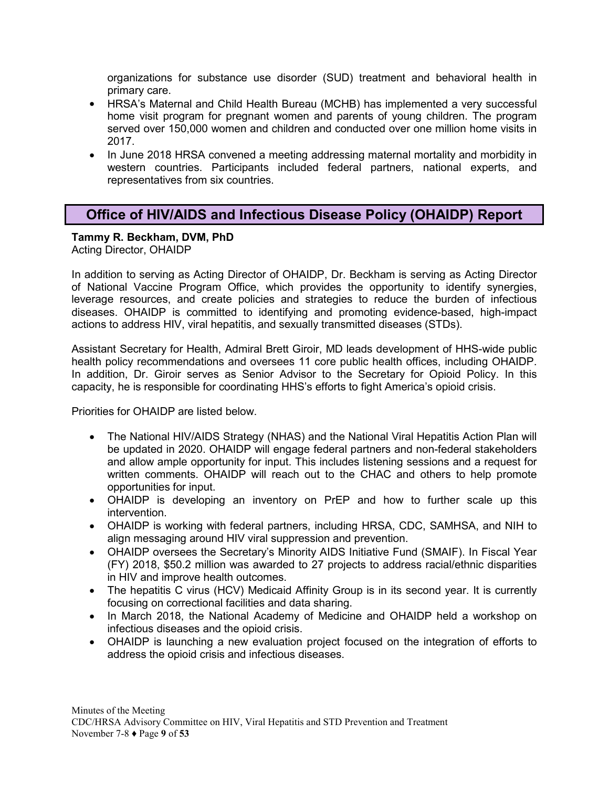organizations for substance use disorder (SUD) treatment and behavioral health in primary care.

- HRSA's Maternal and Child Health Bureau (MCHB) has implemented a very successful home visit program for pregnant women and parents of young children. The program served over 150,000 women and children and conducted over one million home visits in 2017.
- In June 2018 HRSA convened a meeting addressing maternal mortality and morbidity in western countries. Participants included federal partners, national experts, and representatives from six countries.

### <span id="page-8-0"></span>**Office of HIV/AIDS and Infectious Disease Policy (OHAIDP) Report**

#### **Tammy R. Beckham, DVM, PhD**

Acting Director, OHAIDP

In addition to serving as Acting Director of OHAIDP, Dr. Beckham is serving as Acting Director of National Vaccine Program Office, which provides the opportunity to identify synergies, leverage resources, and create policies and strategies to reduce the burden of infectious diseases. OHAIDP is committed to identifying and promoting evidence-based, high-impact actions to address HIV, viral hepatitis, and sexually transmitted diseases (STDs).

Assistant Secretary for Health, Admiral Brett Giroir, MD leads development of HHS-wide public health policy recommendations and oversees 11 core public health offices, including OHAIDP. In addition, Dr. Giroir serves as Senior Advisor to the Secretary for Opioid Policy. In this capacity, he is responsible for coordinating HHS's efforts to fight America's opioid crisis.

Priorities for OHAIDP are listed below.

- The National HIV/AIDS Strategy (NHAS) and the National Viral Hepatitis Action Plan will be updated in 2020. OHAIDP will engage federal partners and non-federal stakeholders and allow ample opportunity for input. This includes listening sessions and a request for written comments. OHAIDP will reach out to the CHAC and others to help promote opportunities for input.
- OHAIDP is developing an inventory on PrEP and how to further scale up this intervention.
- OHAIDP is working with federal partners, including HRSA, CDC, SAMHSA, and NIH to align messaging around HIV viral suppression and prevention.
- OHAIDP oversees the Secretary's Minority AIDS Initiative Fund (SMAIF). In Fiscal Year (FY) 2018, \$50.2 million was awarded to 27 projects to address racial/ethnic disparities in HIV and improve health outcomes.
- The hepatitis C virus (HCV) Medicaid Affinity Group is in its second year. It is currently focusing on correctional facilities and data sharing.
- In March 2018, the National Academy of Medicine and OHAIDP held a workshop on infectious diseases and the opioid crisis.
- OHAIDP is launching a new evaluation project focused on the integration of efforts to address the opioid crisis and infectious diseases.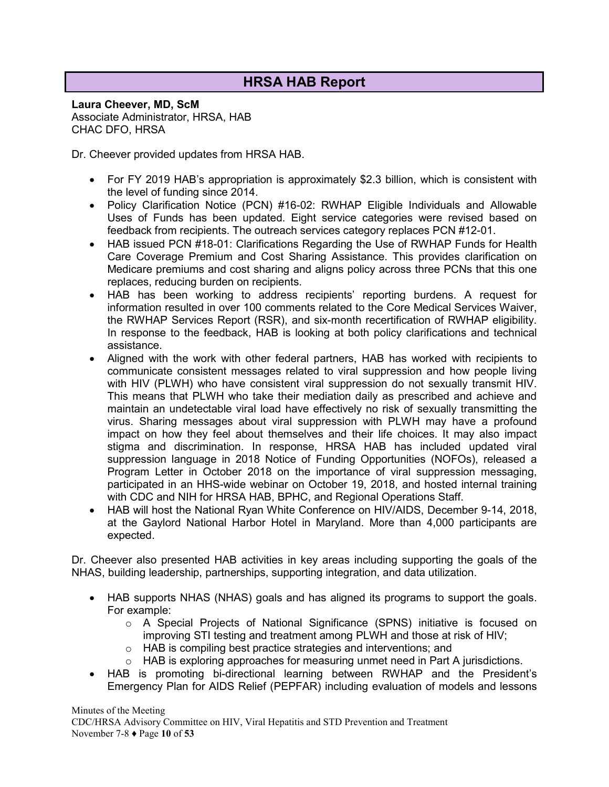### **HRSA HAB Report**

### <span id="page-9-0"></span>**Laura Cheever, MD, ScM**

Associate Administrator, HRSA, HAB CHAC DFO, HRSA

Dr. Cheever provided updates from HRSA HAB.

- For FY 2019 HAB's appropriation is approximately \$2.3 billion, which is consistent with the level of funding since 2014.
- Policy Clarification Notice (PCN) #16-02: RWHAP Eligible Individuals and Allowable Uses of Funds has been updated. Eight service categories were revised based on feedback from recipients. The outreach services category replaces PCN #12-01.
- HAB issued PCN #18-01: Clarifications Regarding the Use of RWHAP Funds for Health Care Coverage Premium and Cost Sharing Assistance. This provides clarification on Medicare premiums and cost sharing and aligns policy across three PCNs that this one replaces, reducing burden on recipients.
- HAB has been working to address recipients' reporting burdens. A request for information resulted in over 100 comments related to the Core Medical Services Waiver, the RWHAP Services Report (RSR), and six-month recertification of RWHAP eligibility. In response to the feedback, HAB is looking at both policy clarifications and technical assistance.
- Aligned with the work with other federal partners, HAB has worked with recipients to communicate consistent messages related to viral suppression and how people living with HIV (PLWH) who have consistent viral suppression do not sexually transmit HIV. This means that PLWH who take their mediation daily as prescribed and achieve and maintain an undetectable viral load have effectively no risk of sexually transmitting the virus. Sharing messages about viral suppression with PLWH may have a profound impact on how they feel about themselves and their life choices. It may also impact stigma and discrimination. In response, HRSA HAB has included updated viral suppression language in 2018 Notice of Funding Opportunities (NOFOs), released a Program Letter in October 2018 on the importance of viral suppression messaging, participated in an HHS-wide webinar on October 19, 2018, and hosted internal training with CDC and NIH for HRSA HAB, BPHC, and Regional Operations Staff.
- HAB will host the National Ryan White Conference on HIV/AIDS, December 9-14, 2018, at the Gaylord National Harbor Hotel in Maryland. More than 4,000 participants are expected.

Dr. Cheever also presented HAB activities in key areas including supporting the goals of the NHAS, building leadership, partnerships, supporting integration, and data utilization.

- HAB supports NHAS (NHAS) goals and has aligned its programs to support the goals. For example:
	- o A Special Projects of National Significance (SPNS) initiative is focused on improving STI testing and treatment among PLWH and those at risk of HIV;
	- o HAB is compiling best practice strategies and interventions; and
	- $\circ$  HAB is exploring approaches for measuring unmet need in Part A jurisdictions.
- HAB is promoting bi-directional learning between RWHAP and the President's Emergency Plan for AIDS Relief (PEPFAR) including evaluation of models and lessons

Minutes of the Meeting CDC/HRSA Advisory Committee on HIV, Viral Hepatitis and STD Prevention and Treatment November 7-8 ♦ Page **10** of **53**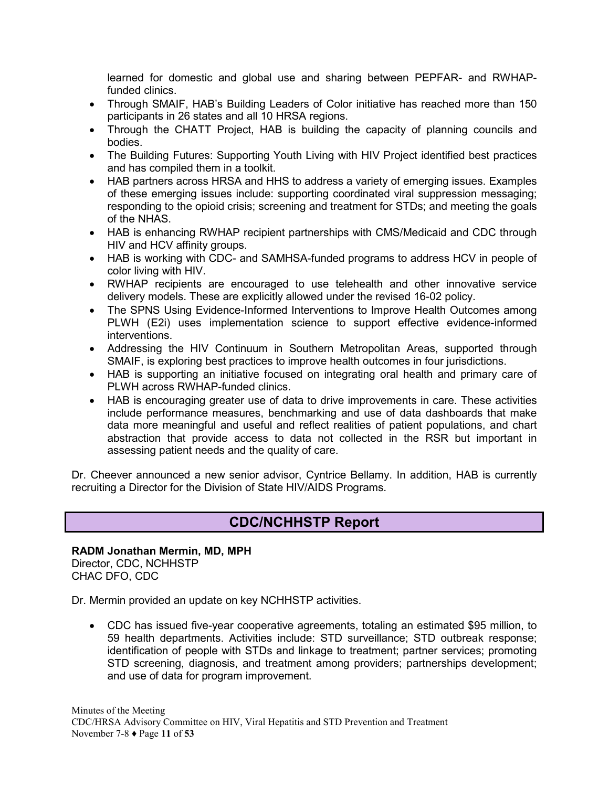learned for domestic and global use and sharing between PEPFAR- and RWHAPfunded clinics.

- Through SMAIF, HAB's Building Leaders of Color initiative has reached more than 150 participants in 26 states and all 10 HRSA regions.
- Through the CHATT Project, HAB is building the capacity of planning councils and bodies.
- The Building Futures: Supporting Youth Living with HIV Project identified best practices and has compiled them in a toolkit.
- HAB partners across HRSA and HHS to address a variety of emerging issues. Examples of these emerging issues include: supporting coordinated viral suppression messaging; responding to the opioid crisis; screening and treatment for STDs; and meeting the goals of the NHAS.
- HAB is enhancing RWHAP recipient partnerships with CMS/Medicaid and CDC through HIV and HCV affinity groups.
- HAB is working with CDC- and SAMHSA-funded programs to address HCV in people of color living with HIV.
- RWHAP recipients are encouraged to use telehealth and other innovative service delivery models. These are explicitly allowed under the revised 16-02 policy.
- The SPNS Using Evidence-Informed Interventions to Improve Health Outcomes among PLWH (E2i) uses implementation science to support effective evidence-informed interventions.
- Addressing the HIV Continuum in Southern Metropolitan Areas, supported through SMAIF, is exploring best practices to improve health outcomes in four jurisdictions.
- HAB is supporting an initiative focused on integrating oral health and primary care of PLWH across RWHAP-funded clinics.
- HAB is encouraging greater use of data to drive improvements in care. These activities include performance measures, benchmarking and use of data dashboards that make data more meaningful and useful and reflect realities of patient populations, and chart abstraction that provide access to data not collected in the RSR but important in assessing patient needs and the quality of care.

<span id="page-10-0"></span>Dr. Cheever announced a new senior advisor, Cyntrice Bellamy. In addition, HAB is currently recruiting a Director for the Division of State HIV/AIDS Programs.

### **CDC/NCHHSTP Report**

#### **RADM Jonathan Mermin, MD, MPH** Director, CDC, NCHHSTP

CHAC DFO, CDC

Dr. Mermin provided an update on key NCHHSTP activities.

• CDC has issued five-year cooperative agreements, totaling an estimated \$95 million, to 59 health departments. Activities include: STD surveillance; STD outbreak response; identification of people with STDs and linkage to treatment; partner services; promoting STD screening, diagnosis, and treatment among providers; partnerships development; and use of data for program improvement.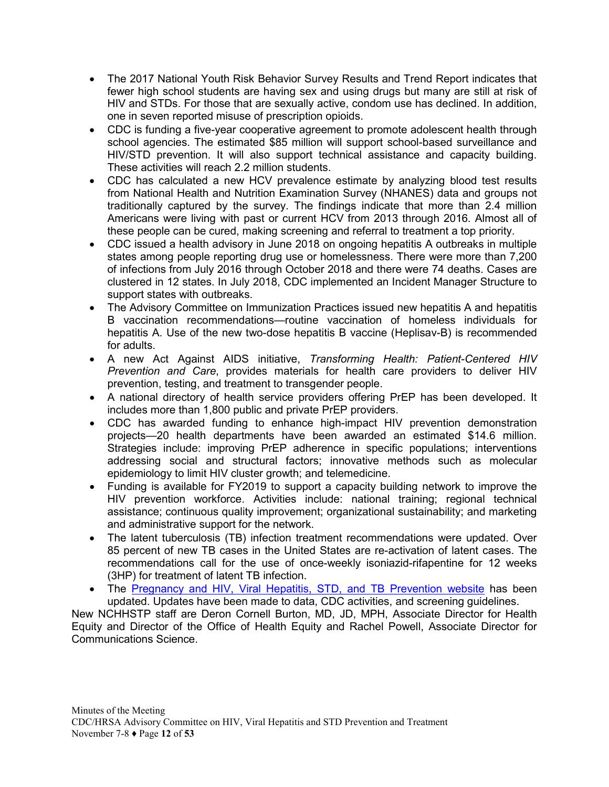- The 2017 National Youth Risk Behavior Survey Results and Trend Report indicates that fewer high school students are having sex and using drugs but many are still at risk of HIV and STDs. For those that are sexually active, condom use has declined. In addition, one in seven reported misuse of prescription opioids.
- CDC is funding a five-year cooperative agreement to promote adolescent health through school agencies. The estimated \$85 million will support school-based surveillance and HIV/STD prevention. It will also support technical assistance and capacity building. These activities will reach 2.2 million students.
- CDC has calculated a new HCV prevalence estimate by analyzing blood test results from National Health and Nutrition Examination Survey (NHANES) data and groups not traditionally captured by the survey. The findings indicate that more than 2.4 million Americans were living with past or current HCV from 2013 through 2016. Almost all of these people can be cured, making screening and referral to treatment a top priority.
- CDC issued a health advisory in June 2018 on ongoing hepatitis A outbreaks in multiple states among people reporting drug use or homelessness. There were more than 7,200 of infections from July 2016 through October 2018 and there were 74 deaths. Cases are clustered in 12 states. In July 2018, CDC implemented an Incident Manager Structure to support states with outbreaks.
- The Advisory Committee on Immunization Practices issued new hepatitis A and hepatitis B vaccination recommendations—routine vaccination of homeless individuals for hepatitis A. Use of the new two-dose hepatitis B vaccine (Heplisav-B) is recommended for adults.
- A new Act Against AIDS initiative, *Transforming Health: Patient-Centered HIV Prevention and Care*, provides materials for health care providers to deliver HIV prevention, testing, and treatment to transgender people.
- A national directory of health service providers offering PrEP has been developed. It includes more than 1,800 public and private PrEP providers.
- CDC has awarded funding to enhance high-impact HIV prevention demonstration projects—20 health departments have been awarded an estimated \$14.6 million. Strategies include: improving PrEP adherence in specific populations; interventions addressing social and structural factors; innovative methods such as molecular epidemiology to limit HIV cluster growth; and telemedicine.
- Funding is available for FY2019 to support a capacity building network to improve the HIV prevention workforce. Activities include: national training; regional technical assistance; continuous quality improvement; organizational sustainability; and marketing and administrative support for the network.
- The latent tuberculosis (TB) infection treatment recommendations were updated. Over 85 percent of new TB cases in the United States are re-activation of latent cases. The recommendations call for the use of once-weekly isoniazid-rifapentine for 12 weeks (3HP) for treatment of latent TB infection.
- The [Pregnancy and HIV, Viral Hepatitis, STD, and TB Prevention website](https://www.cdc.gov/nchhstp/pregnancy/default.htm) has been updated. Updates have been made to data, CDC activities, and screening guidelines.

New NCHHSTP staff are Deron Cornell Burton, MD, JD, MPH, Associate Director for Health Equity and Director of the Office of Health Equity and Rachel Powell, Associate Director for Communications Science.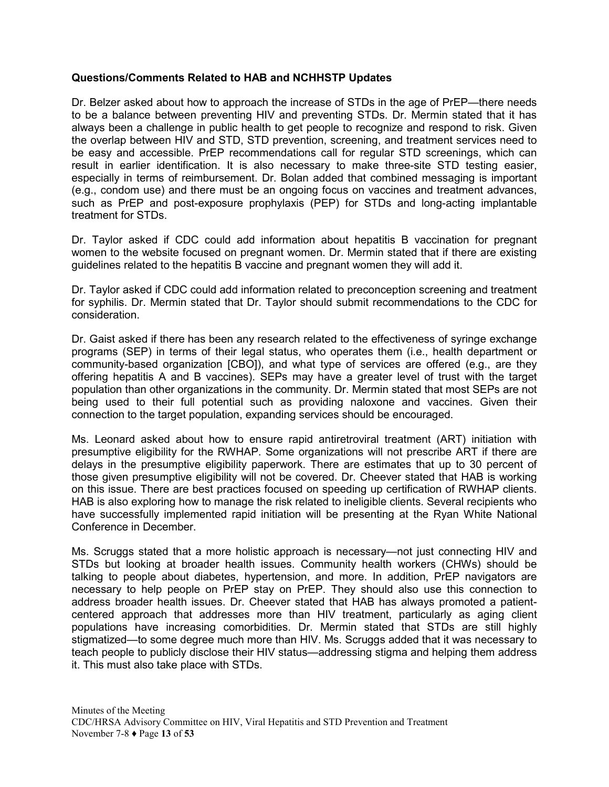#### **Questions/Comments Related to HAB and NCHHSTP Updates**

Dr. Belzer asked about how to approach the increase of STDs in the age of PrEP—there needs to be a balance between preventing HIV and preventing STDs. Dr. Mermin stated that it has always been a challenge in public health to get people to recognize and respond to risk. Given the overlap between HIV and STD, STD prevention, screening, and treatment services need to be easy and accessible. PrEP recommendations call for regular STD screenings, which can result in earlier identification. It is also necessary to make three-site STD testing easier, especially in terms of reimbursement. Dr. Bolan added that combined messaging is important (e.g., condom use) and there must be an ongoing focus on vaccines and treatment advances, such as PrEP and post-exposure prophylaxis (PEP) for STDs and long-acting implantable treatment for STDs.

Dr. Taylor asked if CDC could add information about hepatitis B vaccination for pregnant women to the website focused on pregnant women. Dr. Mermin stated that if there are existing guidelines related to the hepatitis B vaccine and pregnant women they will add it.

Dr. Taylor asked if CDC could add information related to preconception screening and treatment for syphilis. Dr. Mermin stated that Dr. Taylor should submit recommendations to the CDC for consideration.

Dr. Gaist asked if there has been any research related to the effectiveness of syringe exchange programs (SEP) in terms of their legal status, who operates them (i.e., health department or community-based organization [CBO]), and what type of services are offered (e.g., are they offering hepatitis A and B vaccines). SEPs may have a greater level of trust with the target population than other organizations in the community. Dr. Mermin stated that most SEPs are not being used to their full potential such as providing naloxone and vaccines. Given their connection to the target population, expanding services should be encouraged.

Ms. Leonard asked about how to ensure rapid antiretroviral treatment (ART) initiation with presumptive eligibility for the RWHAP. Some organizations will not prescribe ART if there are delays in the presumptive eligibility paperwork. There are estimates that up to 30 percent of those given presumptive eligibility will not be covered. Dr. Cheever stated that HAB is working on this issue. There are best practices focused on speeding up certification of RWHAP clients. HAB is also exploring how to manage the risk related to ineligible clients. Several recipients who have successfully implemented rapid initiation will be presenting at the Ryan White National Conference in December.

Ms. Scruggs stated that a more holistic approach is necessary—not just connecting HIV and STDs but looking at broader health issues. Community health workers (CHWs) should be talking to people about diabetes, hypertension, and more. In addition, PrEP navigators are necessary to help people on PrEP stay on PrEP. They should also use this connection to address broader health issues. Dr. Cheever stated that HAB has always promoted a patientcentered approach that addresses more than HIV treatment, particularly as aging client populations have increasing comorbidities. Dr. Mermin stated that STDs are still highly stigmatized—to some degree much more than HIV. Ms. Scruggs added that it was necessary to teach people to publicly disclose their HIV status—addressing stigma and helping them address it. This must also take place with STDs.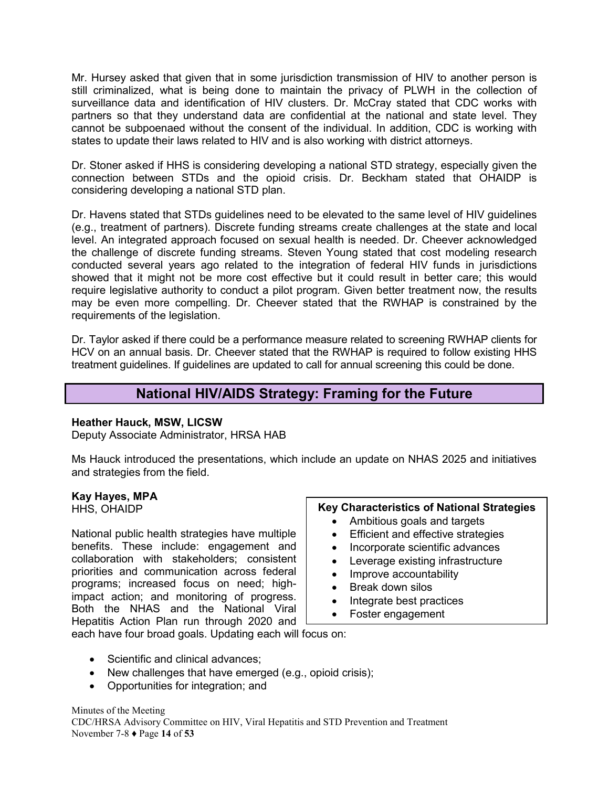Mr. Hursey asked that given that in some jurisdiction transmission of HIV to another person is still criminalized, what is being done to maintain the privacy of PLWH in the collection of surveillance data and identification of HIV clusters. Dr. McCray stated that CDC works with partners so that they understand data are confidential at the national and state level. They cannot be subpoenaed without the consent of the individual. In addition, CDC is working with states to update their laws related to HIV and is also working with district attorneys.

Dr. Stoner asked if HHS is considering developing a national STD strategy, especially given the connection between STDs and the opioid crisis. Dr. Beckham stated that OHAIDP is considering developing a national STD plan.

Dr. Havens stated that STDs guidelines need to be elevated to the same level of HIV guidelines (e.g., treatment of partners). Discrete funding streams create challenges at the state and local level. An integrated approach focused on sexual health is needed. Dr. Cheever acknowledged the challenge of discrete funding streams. Steven Young stated that cost modeling research conducted several years ago related to the integration of federal HIV funds in jurisdictions showed that it might not be more cost effective but it could result in better care; this would require legislative authority to conduct a pilot program. Given better treatment now, the results may be even more compelling. Dr. Cheever stated that the RWHAP is constrained by the requirements of the legislation.

Dr. Taylor asked if there could be a performance measure related to screening RWHAP clients for HCV on an annual basis. Dr. Cheever stated that the RWHAP is required to follow existing HHS treatment guidelines. If guidelines are updated to call for annual screening this could be done.

### **National HIV/AIDS Strategy: Framing for the Future**

#### <span id="page-13-0"></span>**Heather Hauck, MSW, LICSW**

Deputy Associate Administrator, HRSA HAB

Ms Hauck introduced the presentations, which include an update on NHAS 2025 and initiatives and strategies from the field.

# **Kay Hayes, MPA**

National public health strategies have multiple benefits. These include: engagement and collaboration with stakeholders; consistent priorities and communication across federal programs; increased focus on need; highimpact action; and monitoring of progress. Both the NHAS and the National Viral Hepatitis Action Plan run through 2020 and

#### **Key Characteristics of National Strategies**

- Ambitious goals and targets
- Efficient and effective strategies
- Incorporate scientific advances
- Leverage existing infrastructure
- Improve accountability
- Break down silos
- Integrate best practices
- Foster engagement

each have four broad goals. Updating each will focus on:

- Scientific and clinical advances;
- New challenges that have emerged (e.g., opioid crisis);
- Opportunities for integration; and

Minutes of the Meeting CDC/HRSA Advisory Committee on HIV, Viral Hepatitis and STD Prevention and Treatment November 7-8 ♦ Page **14** of **53**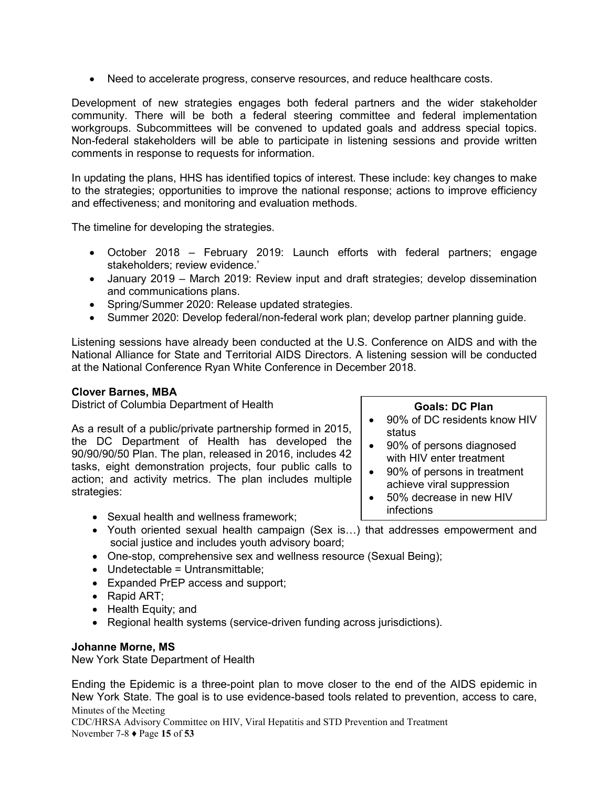• Need to accelerate progress, conserve resources, and reduce healthcare costs.

Development of new strategies engages both federal partners and the wider stakeholder community. There will be both a federal steering committee and federal implementation workgroups. Subcommittees will be convened to updated goals and address special topics. Non-federal stakeholders will be able to participate in listening sessions and provide written comments in response to requests for information.

In updating the plans, HHS has identified topics of interest. These include: key changes to make to the strategies; opportunities to improve the national response; actions to improve efficiency and effectiveness; and monitoring and evaluation methods.

The timeline for developing the strategies.

- October 2018 February 2019: Launch efforts with federal partners; engage stakeholders; review evidence.'
- January 2019 March 2019: Review input and draft strategies; develop dissemination and communications plans.
- Spring/Summer 2020: Release updated strategies.
- Summer 2020: Develop federal/non-federal work plan; develop partner planning guide.

Listening sessions have already been conducted at the U.S. Conference on AIDS and with the National Alliance for State and Territorial AIDS Directors. A listening session will be conducted at the National Conference Ryan White Conference in December 2018.

#### **Clover Barnes, MBA**

District of Columbia Department of Health **Goals: DC Plan** 

As a result of a public/private partnership formed in 2015, the DC Department of Health has developed the 90/90/90/50 Plan. The plan, released in 2016, includes 42 tasks, eight demonstration projects, four public calls to action; and activity metrics. The plan includes multiple strategies:

- 
- 90% of DC residents know HIV status
- 90% of persons diagnosed with HIV enter treatment
- 90% of persons in treatment achieve viral suppression
- 50% decrease in new HIV infections
- Sexual health and wellness framework:
- Youth oriented sexual health campaign (Sex is…) that addresses empowerment and social justice and includes youth advisory board;
- One-stop, comprehensive sex and wellness resource (Sexual Being);
- Undetectable = Untransmittable;
- Expanded PrEP access and support;
- Rapid ART;
- Health Equity; and
- Regional health systems (service-driven funding across jurisdictions).

#### **Johanne Morne, MS**

New York State Department of Health

Minutes of the Meeting Ending the Epidemic is a three-point plan to move closer to the end of the AIDS epidemic in New York State. The goal is to use evidence-based tools related to prevention, access to care,

CDC/HRSA Advisory Committee on HIV, Viral Hepatitis and STD Prevention and Treatment November 7-8 ♦ Page **15** of **53**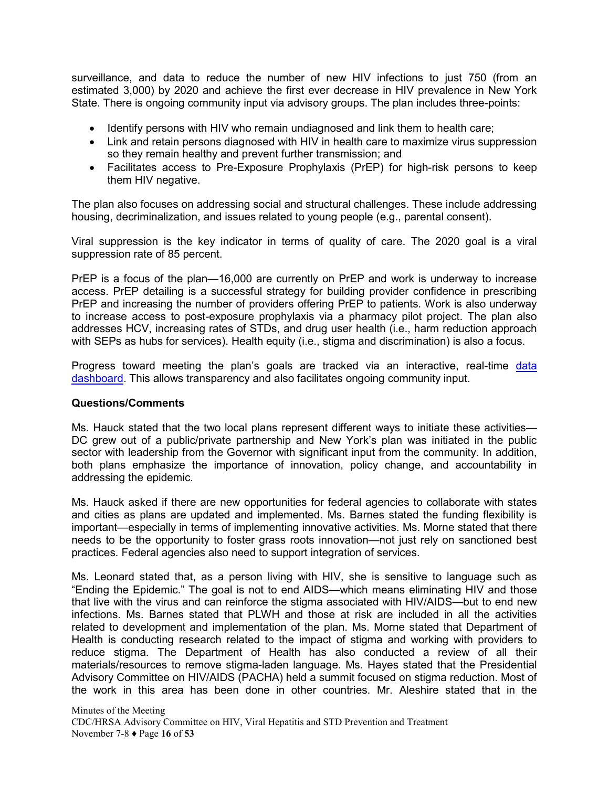surveillance, and data to reduce the number of new HIV infections to just 750 (from an estimated 3,000) by 2020 and achieve the first ever decrease in HIV prevalence in New York State. There is ongoing community input via advisory groups. The plan includes three-points:

- Identify persons with HIV who remain undiagnosed and link them to health care;
- Link and retain persons diagnosed with HIV in health care to maximize virus suppression so they remain healthy and prevent further transmission; and
- Facilitates access to Pre-Exposure Prophylaxis (PrEP) for high-risk persons to keep them HIV negative.

The plan also focuses on addressing social and structural challenges. These include addressing housing, decriminalization, and issues related to young people (e.g., parental consent).

Viral suppression is the key indicator in terms of quality of care. The 2020 goal is a viral suppression rate of 85 percent.

PrEP is a focus of the plan—16,000 are currently on PrEP and work is underway to increase access. PrEP detailing is a successful strategy for building provider confidence in prescribing PrEP and increasing the number of providers offering PrEP to patients. Work is also underway to increase access to post-exposure prophylaxis via a pharmacy pilot project. The plan also addresses HCV, increasing rates of STDs, and drug user health (i.e., harm reduction approach with SEPs as hubs for services). Health equity (i.e., stigma and discrimination) is also a focus.

Progress toward meeting the plan's goals are tracked via an interactive, real-time data [dashboard.](http://etedashboardny.org/) This allows transparency and also facilitates ongoing community input.

#### **Questions/Comments**

Ms. Hauck stated that the two local plans represent different ways to initiate these activities— DC grew out of a public/private partnership and New York's plan was initiated in the public sector with leadership from the Governor with significant input from the community. In addition, both plans emphasize the importance of innovation, policy change, and accountability in addressing the epidemic.

Ms. Hauck asked if there are new opportunities for federal agencies to collaborate with states and cities as plans are updated and implemented. Ms. Barnes stated the funding flexibility is important—especially in terms of implementing innovative activities. Ms. Morne stated that there needs to be the opportunity to foster grass roots innovation—not just rely on sanctioned best practices. Federal agencies also need to support integration of services.

Ms. Leonard stated that, as a person living with HIV, she is sensitive to language such as "Ending the Epidemic." The goal is not to end AIDS—which means eliminating HIV and those that live with the virus and can reinforce the stigma associated with HIV/AIDS—but to end new infections. Ms. Barnes stated that PLWH and those at risk are included in all the activities related to development and implementation of the plan. Ms. Morne stated that Department of Health is conducting research related to the impact of stigma and working with providers to reduce stigma. The Department of Health has also conducted a review of all their materials/resources to remove stigma-laden language. Ms. Hayes stated that the Presidential Advisory Committee on HIV/AIDS (PACHA) held a summit focused on stigma reduction. Most of the work in this area has been done in other countries. Mr. Aleshire stated that in the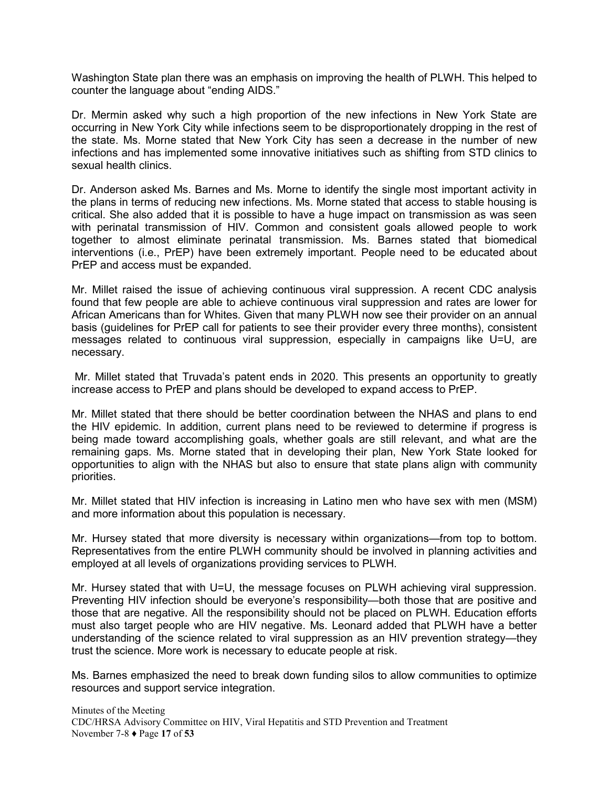Washington State plan there was an emphasis on improving the health of PLWH. This helped to counter the language about "ending AIDS."

Dr. Mermin asked why such a high proportion of the new infections in New York State are occurring in New York City while infections seem to be disproportionately dropping in the rest of the state. Ms. Morne stated that New York City has seen a decrease in the number of new infections and has implemented some innovative initiatives such as shifting from STD clinics to sexual health clinics.

Dr. Anderson asked Ms. Barnes and Ms. Morne to identify the single most important activity in the plans in terms of reducing new infections. Ms. Morne stated that access to stable housing is critical. She also added that it is possible to have a huge impact on transmission as was seen with perinatal transmission of HIV. Common and consistent goals allowed people to work together to almost eliminate perinatal transmission. Ms. Barnes stated that biomedical interventions (i.e., PrEP) have been extremely important. People need to be educated about PrEP and access must be expanded.

Mr. Millet raised the issue of achieving continuous viral suppression. A recent CDC analysis found that few people are able to achieve continuous viral suppression and rates are lower for African Americans than for Whites. Given that many PLWH now see their provider on an annual basis (guidelines for PrEP call for patients to see their provider every three months), consistent messages related to continuous viral suppression, especially in campaigns like U=U, are necessary.

Mr. Millet stated that Truvada's patent ends in 2020. This presents an opportunity to greatly increase access to PrEP and plans should be developed to expand access to PrEP.

Mr. Millet stated that there should be better coordination between the NHAS and plans to end the HIV epidemic. In addition, current plans need to be reviewed to determine if progress is being made toward accomplishing goals, whether goals are still relevant, and what are the remaining gaps. Ms. Morne stated that in developing their plan, New York State looked for opportunities to align with the NHAS but also to ensure that state plans align with community priorities.

Mr. Millet stated that HIV infection is increasing in Latino men who have sex with men (MSM) and more information about this population is necessary.

Mr. Hursey stated that more diversity is necessary within organizations—from top to bottom. Representatives from the entire PLWH community should be involved in planning activities and employed at all levels of organizations providing services to PLWH.

Mr. Hursey stated that with U=U, the message focuses on PLWH achieving viral suppression. Preventing HIV infection should be everyone's responsibility—both those that are positive and those that are negative. All the responsibility should not be placed on PLWH. Education efforts must also target people who are HIV negative. Ms. Leonard added that PLWH have a better understanding of the science related to viral suppression as an HIV prevention strategy—they trust the science. More work is necessary to educate people at risk.

Ms. Barnes emphasized the need to break down funding silos to allow communities to optimize resources and support service integration.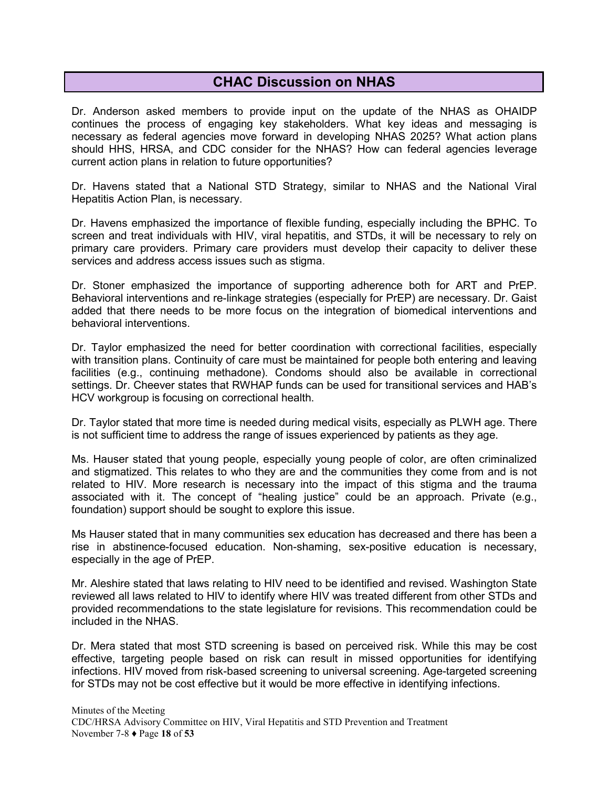### **CHAC Discussion on NHAS**

<span id="page-17-0"></span>Dr. Anderson asked members to provide input on the update of the NHAS as OHAIDP continues the process of engaging key stakeholders. What key ideas and messaging is necessary as federal agencies move forward in developing NHAS 2025? What action plans should HHS, HRSA, and CDC consider for the NHAS? How can federal agencies leverage current action plans in relation to future opportunities?

Dr. Havens stated that a National STD Strategy, similar to NHAS and the National Viral Hepatitis Action Plan, is necessary.

Dr. Havens emphasized the importance of flexible funding, especially including the BPHC. To screen and treat individuals with HIV, viral hepatitis, and STDs, it will be necessary to rely on primary care providers. Primary care providers must develop their capacity to deliver these services and address access issues such as stigma.

Dr. Stoner emphasized the importance of supporting adherence both for ART and PrEP. Behavioral interventions and re-linkage strategies (especially for PrEP) are necessary. Dr. Gaist added that there needs to be more focus on the integration of biomedical interventions and behavioral interventions.

Dr. Taylor emphasized the need for better coordination with correctional facilities, especially with transition plans. Continuity of care must be maintained for people both entering and leaving facilities (e.g., continuing methadone). Condoms should also be available in correctional settings. Dr. Cheever states that RWHAP funds can be used for transitional services and HAB's HCV workgroup is focusing on correctional health.

Dr. Taylor stated that more time is needed during medical visits, especially as PLWH age. There is not sufficient time to address the range of issues experienced by patients as they age.

Ms. Hauser stated that young people, especially young people of color, are often criminalized and stigmatized. This relates to who they are and the communities they come from and is not related to HIV. More research is necessary into the impact of this stigma and the trauma associated with it. The concept of "healing justice" could be an approach. Private (e.g., foundation) support should be sought to explore this issue.

Ms Hauser stated that in many communities sex education has decreased and there has been a rise in abstinence-focused education. Non-shaming, sex-positive education is necessary, especially in the age of PrEP.

Mr. Aleshire stated that laws relating to HIV need to be identified and revised. Washington State reviewed all laws related to HIV to identify where HIV was treated different from other STDs and provided recommendations to the state legislature for revisions. This recommendation could be included in the NHAS.

Dr. Mera stated that most STD screening is based on perceived risk. While this may be cost effective, targeting people based on risk can result in missed opportunities for identifying infections. HIV moved from risk-based screening to universal screening. Age-targeted screening for STDs may not be cost effective but it would be more effective in identifying infections.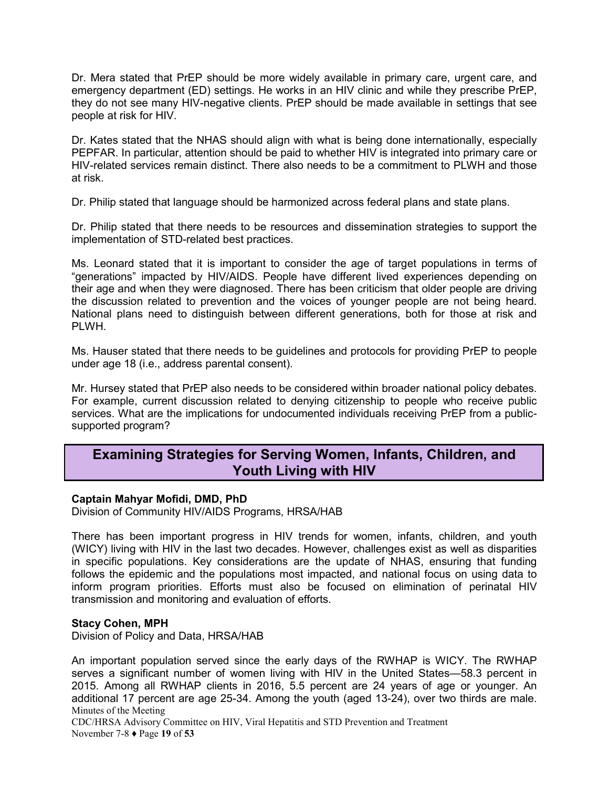Dr. Mera stated that PrEP should be more widely available in primary care, urgent care, and emergency department (ED) settings. He works in an HIV clinic and while they prescribe PrEP, they do not see many HIV-negative clients. PrEP should be made available in settings that see people at risk for HIV.

Dr. Kates stated that the NHAS should align with what is being done internationally, especially PEPFAR. In particular, attention should be paid to whether HIV is integrated into primary care or HIV-related services remain distinct. There also needs to be a commitment to PLWH and those at risk.

Dr. Philip stated that language should be harmonized across federal plans and state plans.

Dr. Philip stated that there needs to be resources and dissemination strategies to support the implementation of STD-related best practices.

Ms. Leonard stated that it is important to consider the age of target populations in terms of "generations" impacted by HIV/AIDS. People have different lived experiences depending on their age and when they were diagnosed. There has been criticism that older people are driving the discussion related to prevention and the voices of younger people are not being heard. National plans need to distinguish between different generations, both for those at risk and PLWH.

Ms. Hauser stated that there needs to be guidelines and protocols for providing PrEP to people under age 18 (i.e., address parental consent).

Mr. Hursey stated that PrEP also needs to be considered within broader national policy debates. For example, current discussion related to denying citizenship to people who receive public services. What are the implications for undocumented individuals receiving PrEP from a publicsupported program?

### <span id="page-18-0"></span>**Examining Strategies for Serving Women, Infants, Children, and Youth Living with HIV**

#### **Captain Mahyar Mofidi, DMD, PhD**

Division of Community HIV/AIDS Programs, HRSA/HAB

There has been important progress in HIV trends for women, infants, children, and youth (WICY) living with HIV in the last two decades. However, challenges exist as well as disparities in specific populations. Key considerations are the update of NHAS, ensuring that funding follows the epidemic and the populations most impacted, and national focus on using data to inform program priorities. Efforts must also be focused on elimination of perinatal HIV transmission and monitoring and evaluation of efforts.

#### **Stacy Cohen, MPH**

Division of Policy and Data, HRSA/HAB

Minutes of the Meeting An important population served since the early days of the RWHAP is WICY. The RWHAP serves a significant number of women living with HIV in the United States—58.3 percent in 2015. Among all RWHAP clients in 2016, 5.5 percent are 24 years of age or younger. An additional 17 percent are age 25-34. Among the youth (aged 13-24), over two thirds are male.

CDC/HRSA Advisory Committee on HIV, Viral Hepatitis and STD Prevention and Treatment November 7-8 ♦ Page **19** of **53**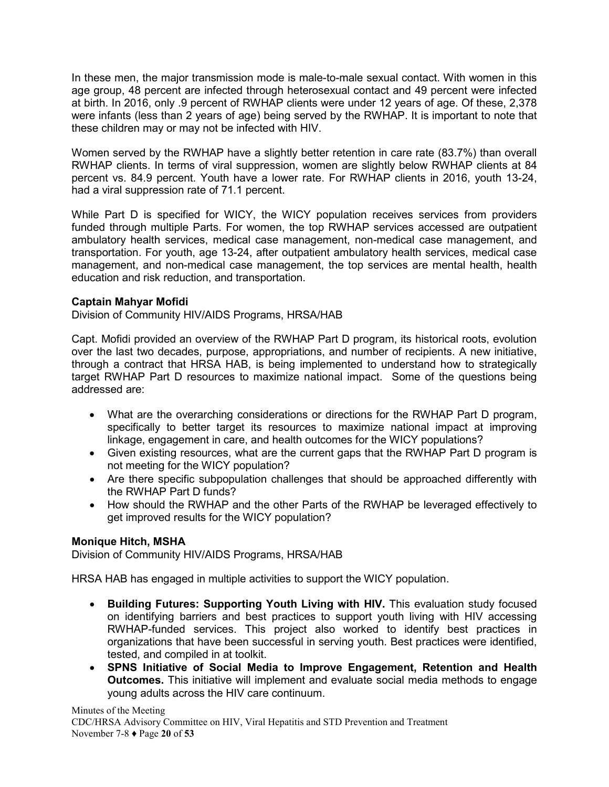In these men, the major transmission mode is male-to-male sexual contact. With women in this age group, 48 percent are infected through heterosexual contact and 49 percent were infected at birth. In 2016, only .9 percent of RWHAP clients were under 12 years of age. Of these, 2,378 were infants (less than 2 years of age) being served by the RWHAP. It is important to note that these children may or may not be infected with HIV.

Women served by the RWHAP have a slightly better retention in care rate (83.7%) than overall RWHAP clients. In terms of viral suppression, women are slightly below RWHAP clients at 84 percent vs. 84.9 percent. Youth have a lower rate. For RWHAP clients in 2016, youth 13-24, had a viral suppression rate of 71.1 percent.

While Part D is specified for WICY, the WICY population receives services from providers funded through multiple Parts. For women, the top RWHAP services accessed are outpatient ambulatory health services, medical case management, non-medical case management, and transportation. For youth, age 13-24, after outpatient ambulatory health services, medical case management, and non-medical case management, the top services are mental health, health education and risk reduction, and transportation.

#### **Captain Mahyar Mofidi**

Division of Community HIV/AIDS Programs, HRSA/HAB

Capt. Mofidi provided an overview of the RWHAP Part D program, its historical roots, evolution over the last two decades, purpose, appropriations, and number of recipients. A new initiative, through a contract that HRSA HAB, is being implemented to understand how to strategically target RWHAP Part D resources to maximize national impact. Some of the questions being addressed are:

- What are the overarching considerations or directions for the RWHAP Part D program, specifically to better target its resources to maximize national impact at improving linkage, engagement in care, and health outcomes for the WICY populations?
- Given existing resources, what are the current gaps that the RWHAP Part D program is not meeting for the WICY population?
- Are there specific subpopulation challenges that should be approached differently with the RWHAP Part D funds?
- How should the RWHAP and the other Parts of the RWHAP be leveraged effectively to get improved results for the WICY population?

#### **Monique Hitch, MSHA**

Division of Community HIV/AIDS Programs, HRSA/HAB

HRSA HAB has engaged in multiple activities to support the WICY population.

- **Building Futures: Supporting Youth Living with HIV.** This evaluation study focused on identifying barriers and best practices to support youth living with HIV accessing RWHAP-funded services. This project also worked to identify best practices in organizations that have been successful in serving youth. Best practices were identified, tested, and compiled in at toolkit.
- **SPNS Initiative of Social Media to Improve Engagement, Retention and Health Outcomes.** This initiative will implement and evaluate social media methods to engage young adults across the HIV care continuum.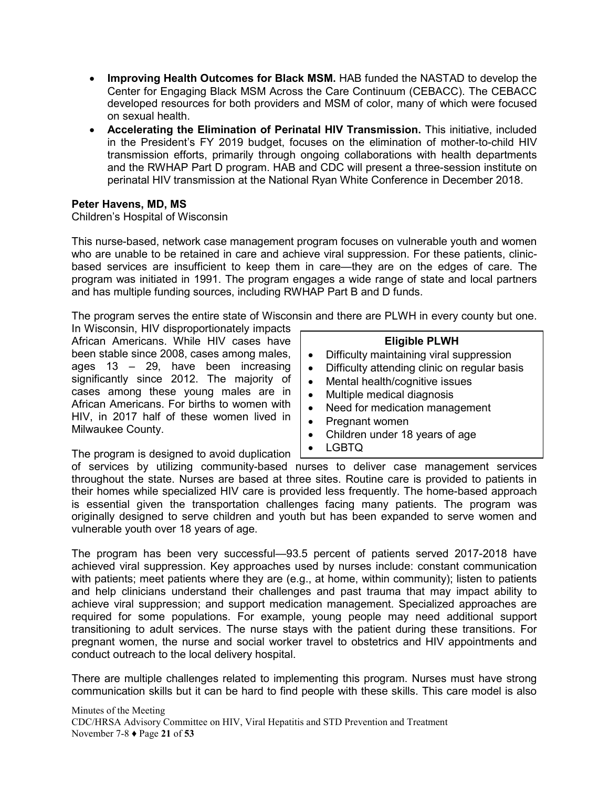- **Improving Health Outcomes for Black MSM.** HAB funded the NASTAD to develop the Center for Engaging Black MSM Across the Care Continuum (CEBACC). The CEBACC developed resources for both providers and MSM of color, many of which were focused on sexual health.
- **Accelerating the Elimination of Perinatal HIV Transmission.** This initiative, included in the President's FY 2019 budget, focuses on the elimination of mother-to-child HIV transmission efforts, primarily through ongoing collaborations with health departments and the RWHAP Part D program. HAB and CDC will present a three-session institute on perinatal HIV transmission at the National Ryan White Conference in December 2018.

#### **Peter Havens, MD, MS**

Children's Hospital of Wisconsin

This nurse-based, network case management program focuses on vulnerable youth and women who are unable to be retained in care and achieve viral suppression. For these patients, clinicbased services are insufficient to keep them in care—they are on the edges of care. The program was initiated in 1991. The program engages a wide range of state and local partners and has multiple funding sources, including RWHAP Part B and D funds.

The program serves the entire state of Wisconsin and there are PLWH in every county but one.

In Wisconsin, HIV disproportionately impacts African Americans. While HIV cases have been stable since 2008, cases among males, ages 13 – 29, have been increasing significantly since 2012. The majority of cases among these young males are in African Americans. For births to women with HIV, in 2017 half of these women lived in Milwaukee County.

#### **Eligible PLWH**

- Difficulty maintaining viral suppression
- Difficulty attending clinic on regular basis
- Mental health/cognitive issues
- Multiple medical diagnosis
- Need for medication management
- Pregnant women
- Children under 18 years of age
- LGBTQ

The program is designed to avoid duplication

of services by utilizing community-based nurses to deliver case management services throughout the state. Nurses are based at three sites. Routine care is provided to patients in their homes while specialized HIV care is provided less frequently. The home-based approach is essential given the transportation challenges facing many patients. The program was originally designed to serve children and youth but has been expanded to serve women and vulnerable youth over 18 years of age.

The program has been very successful—93.5 percent of patients served 2017-2018 have achieved viral suppression. Key approaches used by nurses include: constant communication with patients; meet patients where they are (e.g., at home, within community); listen to patients and help clinicians understand their challenges and past trauma that may impact ability to achieve viral suppression; and support medication management. Specialized approaches are required for some populations. For example, young people may need additional support transitioning to adult services. The nurse stays with the patient during these transitions. For pregnant women, the nurse and social worker travel to obstetrics and HIV appointments and conduct outreach to the local delivery hospital.

There are multiple challenges related to implementing this program. Nurses must have strong communication skills but it can be hard to find people with these skills. This care model is also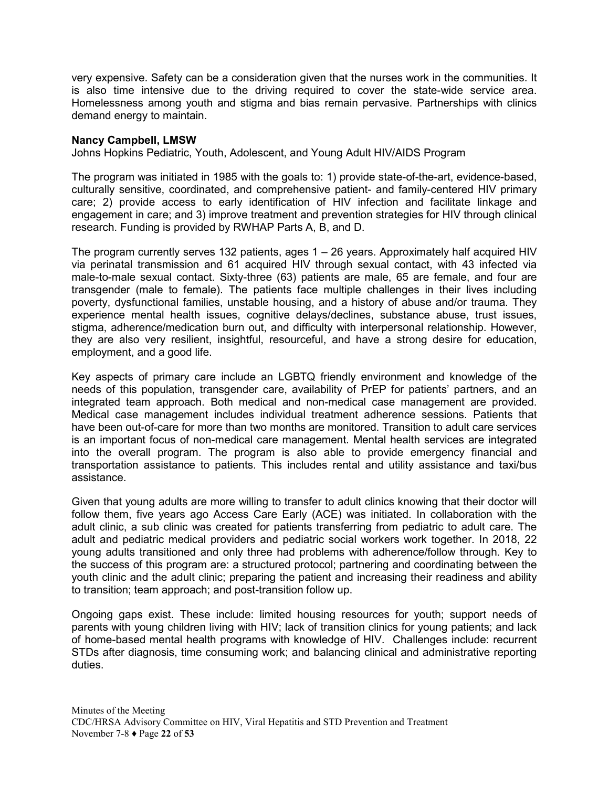very expensive. Safety can be a consideration given that the nurses work in the communities. It is also time intensive due to the driving required to cover the state-wide service area. Homelessness among youth and stigma and bias remain pervasive. Partnerships with clinics demand energy to maintain.

#### **Nancy Campbell, LMSW**

Johns Hopkins Pediatric, Youth, Adolescent, and Young Adult HIV/AIDS Program

The program was initiated in 1985 with the goals to: 1) provide state-of-the-art, evidence-based, culturally sensitive, coordinated, and comprehensive patient- and family-centered HIV primary care; 2) provide access to early identification of HIV infection and facilitate linkage and engagement in care; and 3) improve treatment and prevention strategies for HIV through clinical research. Funding is provided by RWHAP Parts A, B, and D.

The program currently serves 132 patients, ages  $1 - 26$  years. Approximately half acquired HIV via perinatal transmission and 61 acquired HIV through sexual contact, with 43 infected via male-to-male sexual contact. Sixty-three (63) patients are male, 65 are female, and four are transgender (male to female). The patients face multiple challenges in their lives including poverty, dysfunctional families, unstable housing, and a history of abuse and/or trauma. They experience mental health issues, cognitive delays/declines, substance abuse, trust issues, stigma, adherence/medication burn out, and difficulty with interpersonal relationship. However, they are also very resilient, insightful, resourceful, and have a strong desire for education, employment, and a good life.

Key aspects of primary care include an LGBTQ friendly environment and knowledge of the needs of this population, transgender care, availability of PrEP for patients' partners, and an integrated team approach. Both medical and non-medical case management are provided. Medical case management includes individual treatment adherence sessions. Patients that have been out-of-care for more than two months are monitored. Transition to adult care services is an important focus of non-medical care management. Mental health services are integrated into the overall program. The program is also able to provide emergency financial and transportation assistance to patients. This includes rental and utility assistance and taxi/bus assistance.

Given that young adults are more willing to transfer to adult clinics knowing that their doctor will follow them, five years ago Access Care Early (ACE) was initiated. In collaboration with the adult clinic, a sub clinic was created for patients transferring from pediatric to adult care. The adult and pediatric medical providers and pediatric social workers work together. In 2018, 22 young adults transitioned and only three had problems with adherence/follow through. Key to the success of this program are: a structured protocol; partnering and coordinating between the youth clinic and the adult clinic; preparing the patient and increasing their readiness and ability to transition; team approach; and post-transition follow up.

Ongoing gaps exist. These include: limited housing resources for youth; support needs of parents with young children living with HIV; lack of transition clinics for young patients; and lack of home-based mental health programs with knowledge of HIV. Challenges include: recurrent STDs after diagnosis, time consuming work; and balancing clinical and administrative reporting duties.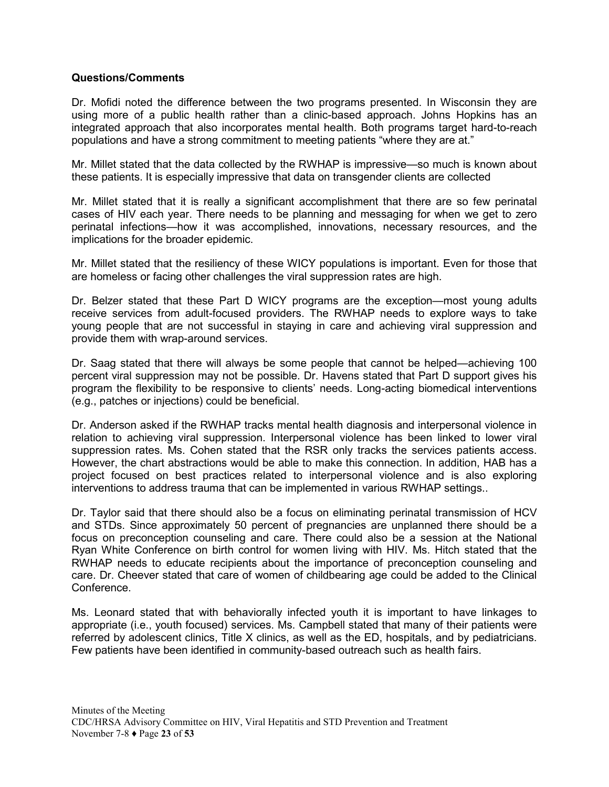#### **Questions/Comments**

Dr. Mofidi noted the difference between the two programs presented. In Wisconsin they are using more of a public health rather than a clinic-based approach. Johns Hopkins has an integrated approach that also incorporates mental health. Both programs target hard-to-reach populations and have a strong commitment to meeting patients "where they are at."

Mr. Millet stated that the data collected by the RWHAP is impressive—so much is known about these patients. It is especially impressive that data on transgender clients are collected

Mr. Millet stated that it is really a significant accomplishment that there are so few perinatal cases of HIV each year. There needs to be planning and messaging for when we get to zero perinatal infections—how it was accomplished, innovations, necessary resources, and the implications for the broader epidemic.

Mr. Millet stated that the resiliency of these WICY populations is important. Even for those that are homeless or facing other challenges the viral suppression rates are high.

Dr. Belzer stated that these Part D WICY programs are the exception—most young adults receive services from adult-focused providers. The RWHAP needs to explore ways to take young people that are not successful in staying in care and achieving viral suppression and provide them with wrap-around services.

Dr. Saag stated that there will always be some people that cannot be helped—achieving 100 percent viral suppression may not be possible. Dr. Havens stated that Part D support gives his program the flexibility to be responsive to clients' needs. Long-acting biomedical interventions (e.g., patches or injections) could be beneficial.

Dr. Anderson asked if the RWHAP tracks mental health diagnosis and interpersonal violence in relation to achieving viral suppression. Interpersonal violence has been linked to lower viral suppression rates. Ms. Cohen stated that the RSR only tracks the services patients access. However, the chart abstractions would be able to make this connection. In addition, HAB has a project focused on best practices related to interpersonal violence and is also exploring interventions to address trauma that can be implemented in various RWHAP settings..

Dr. Taylor said that there should also be a focus on eliminating perinatal transmission of HCV and STDs. Since approximately 50 percent of pregnancies are unplanned there should be a focus on preconception counseling and care. There could also be a session at the National Ryan White Conference on birth control for women living with HIV. Ms. Hitch stated that the RWHAP needs to educate recipients about the importance of preconception counseling and care. Dr. Cheever stated that care of women of childbearing age could be added to the Clinical Conference.

Ms. Leonard stated that with behaviorally infected youth it is important to have linkages to appropriate (i.e., youth focused) services. Ms. Campbell stated that many of their patients were referred by adolescent clinics, Title X clinics, as well as the ED, hospitals, and by pediatricians. Few patients have been identified in community-based outreach such as health fairs.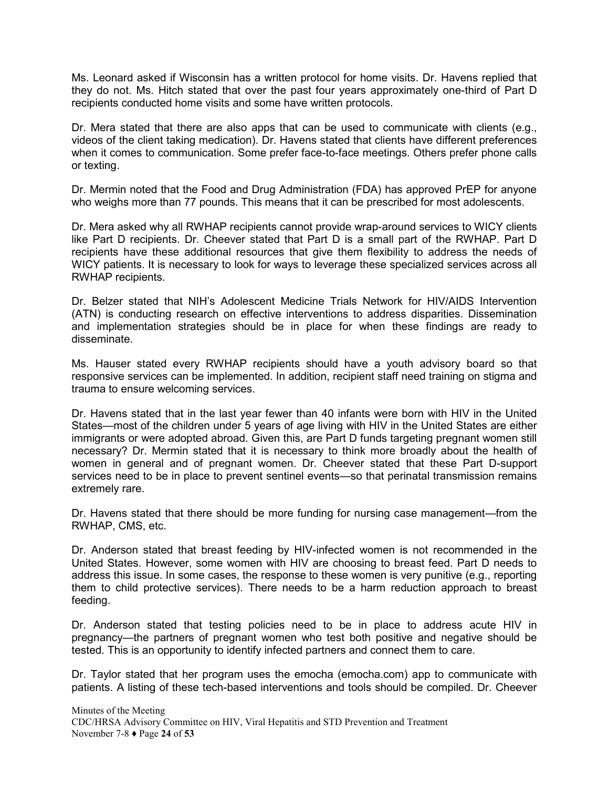Ms. Leonard asked if Wisconsin has a written protocol for home visits. Dr. Havens replied that they do not. Ms. Hitch stated that over the past four years approximately one-third of Part D recipients conducted home visits and some have written protocols.

Dr. Mera stated that there are also apps that can be used to communicate with clients (e.g., videos of the client taking medication). Dr. Havens stated that clients have different preferences when it comes to communication. Some prefer face-to-face meetings. Others prefer phone calls or texting.

Dr. Mermin noted that the Food and Drug Administration (FDA) has approved PrEP for anyone who weighs more than 77 pounds. This means that it can be prescribed for most adolescents.

Dr. Mera asked why all RWHAP recipients cannot provide wrap-around services to WICY clients like Part D recipients. Dr. Cheever stated that Part D is a small part of the RWHAP. Part D recipients have these additional resources that give them flexibility to address the needs of WICY patients. It is necessary to look for ways to leverage these specialized services across all RWHAP recipients.

Dr. Belzer stated that NIH's Adolescent Medicine Trials Network for HIV/AIDS Intervention (ATN) is conducting research on effective interventions to address disparities. Dissemination and implementation strategies should be in place for when these findings are ready to disseminate.

Ms. Hauser stated every RWHAP recipients should have a youth advisory board so that responsive services can be implemented. In addition, recipient staff need training on stigma and trauma to ensure welcoming services.

Dr. Havens stated that in the last year fewer than 40 infants were born with HIV in the United States—most of the children under 5 years of age living with HIV in the United States are either immigrants or were adopted abroad. Given this, are Part D funds targeting pregnant women still necessary? Dr. Mermin stated that it is necessary to think more broadly about the health of women in general and of pregnant women. Dr. Cheever stated that these Part D-support services need to be in place to prevent sentinel events—so that perinatal transmission remains extremely rare.

Dr. Havens stated that there should be more funding for nursing case management—from the RWHAP, CMS, etc.

Dr. Anderson stated that breast feeding by HIV-infected women is not recommended in the United States. However, some women with HIV are choosing to breast feed. Part D needs to address this issue. In some cases, the response to these women is very punitive (e.g., reporting them to child protective services). There needs to be a harm reduction approach to breast feeding.

Dr. Anderson stated that testing policies need to be in place to address acute HIV in pregnancy—the partners of pregnant women who test both positive and negative should be tested. This is an opportunity to identify infected partners and connect them to care.

Dr. Taylor stated that her program uses the emocha (emocha.com) app to communicate with patients. A listing of these tech-based interventions and tools should be compiled. Dr. Cheever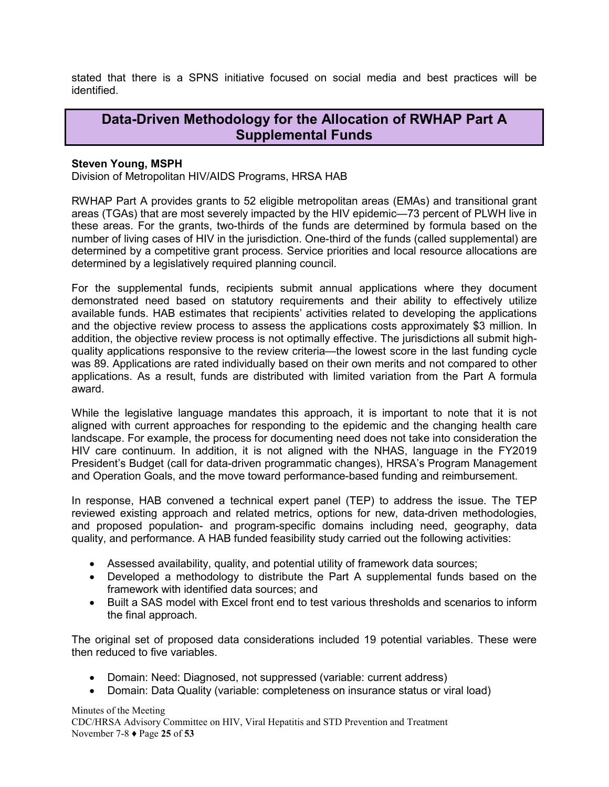stated that there is a SPNS initiative focused on social media and best practices will be identified.

### <span id="page-24-0"></span>**Data-Driven Methodology for the Allocation of RWHAP Part A Supplemental Funds**

#### **Steven Young, MSPH**

Division of Metropolitan HIV/AIDS Programs, HRSA HAB

RWHAP Part A provides grants to 52 eligible metropolitan areas (EMAs) and transitional grant areas (TGAs) that are most severely impacted by the HIV epidemic—73 percent of PLWH live in these areas. For the grants, two-thirds of the funds are determined by formula based on the number of living cases of HIV in the jurisdiction. One-third of the funds (called supplemental) are determined by a competitive grant process. Service priorities and local resource allocations are determined by a legislatively required planning council.

For the supplemental funds, recipients submit annual applications where they document demonstrated need based on statutory requirements and their ability to effectively utilize available funds. HAB estimates that recipients' activities related to developing the applications and the objective review process to assess the applications costs approximately \$3 million. In addition, the objective review process is not optimally effective. The jurisdictions all submit highquality applications responsive to the review criteria—the lowest score in the last funding cycle was 89. Applications are rated individually based on their own merits and not compared to other applications. As a result, funds are distributed with limited variation from the Part A formula award.

While the legislative language mandates this approach, it is important to note that it is not aligned with current approaches for responding to the epidemic and the changing health care landscape. For example, the process for documenting need does not take into consideration the HIV care continuum. In addition, it is not aligned with the NHAS, language in the FY2019 President's Budget (call for data-driven programmatic changes), HRSA's Program Management and Operation Goals, and the move toward performance-based funding and reimbursement.

In response, HAB convened a technical expert panel (TEP) to address the issue. The TEP reviewed existing approach and related metrics, options for new, data-driven methodologies, and proposed population- and program-specific domains including need, geography, data quality, and performance. A HAB funded feasibility study carried out the following activities:

- Assessed availability, quality, and potential utility of framework data sources;
- Developed a methodology to distribute the Part A supplemental funds based on the framework with identified data sources; and
- Built a SAS model with Excel front end to test various thresholds and scenarios to inform the final approach.

The original set of proposed data considerations included 19 potential variables. These were then reduced to five variables.

- Domain: Need: Diagnosed, not suppressed (variable: current address)
- Domain: Data Quality (variable: completeness on insurance status or viral load)

Minutes of the Meeting CDC/HRSA Advisory Committee on HIV, Viral Hepatitis and STD Prevention and Treatment November 7-8 ♦ Page **25** of **53**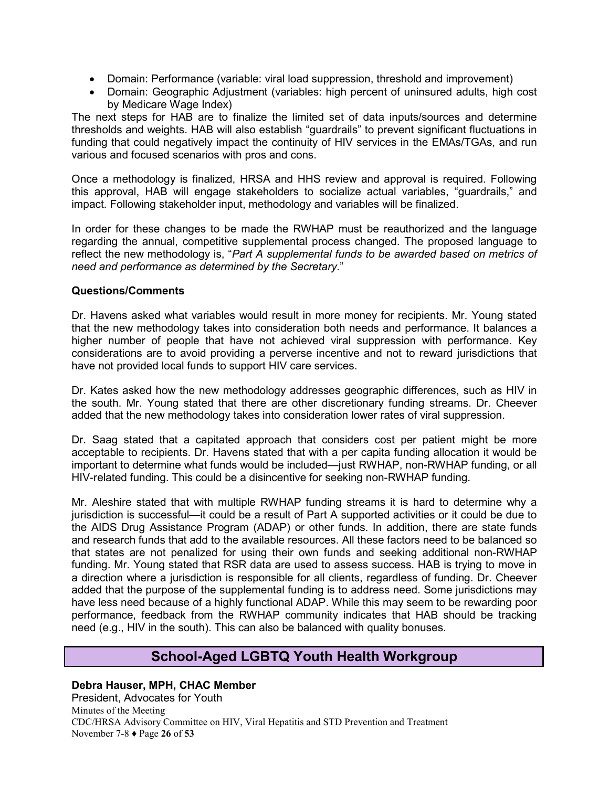- Domain: Performance (variable: viral load suppression, threshold and improvement)
- Domain: Geographic Adjustment (variables: high percent of uninsured adults, high cost by Medicare Wage Index)

The next steps for HAB are to finalize the limited set of data inputs/sources and determine thresholds and weights. HAB will also establish "guardrails" to prevent significant fluctuations in funding that could negatively impact the continuity of HIV services in the EMAs/TGAs, and run various and focused scenarios with pros and cons.

Once a methodology is finalized, HRSA and HHS review and approval is required. Following this approval, HAB will engage stakeholders to socialize actual variables, "guardrails," and impact. Following stakeholder input, methodology and variables will be finalized.

In order for these changes to be made the RWHAP must be reauthorized and the language regarding the annual, competitive supplemental process changed. The proposed language to reflect the new methodology is, "*Part A supplemental funds to be awarded based on metrics of need and performance as determined by the Secretary*."

#### **Questions/Comments**

Dr. Havens asked what variables would result in more money for recipients. Mr. Young stated that the new methodology takes into consideration both needs and performance. It balances a higher number of people that have not achieved viral suppression with performance. Key considerations are to avoid providing a perverse incentive and not to reward jurisdictions that have not provided local funds to support HIV care services.

Dr. Kates asked how the new methodology addresses geographic differences, such as HIV in the south. Mr. Young stated that there are other discretionary funding streams. Dr. Cheever added that the new methodology takes into consideration lower rates of viral suppression.

Dr. Saag stated that a capitated approach that considers cost per patient might be more acceptable to recipients. Dr. Havens stated that with a per capita funding allocation it would be important to determine what funds would be included—just RWHAP, non-RWHAP funding, or all HIV-related funding. This could be a disincentive for seeking non-RWHAP funding.

Mr. Aleshire stated that with multiple RWHAP funding streams it is hard to determine why a jurisdiction is successful—it could be a result of Part A supported activities or it could be due to the AIDS Drug Assistance Program (ADAP) or other funds. In addition, there are state funds and research funds that add to the available resources. All these factors need to be balanced so that states are not penalized for using their own funds and seeking additional non-RWHAP funding. Mr. Young stated that RSR data are used to assess success. HAB is trying to move in a direction where a jurisdiction is responsible for all clients, regardless of funding. Dr. Cheever added that the purpose of the supplemental funding is to address need. Some jurisdictions may have less need because of a highly functional ADAP. While this may seem to be rewarding poor performance, feedback from the RWHAP community indicates that HAB should be tracking need (e.g., HIV in the south). This can also be balanced with quality bonuses.

### **School-Aged LGBTQ Youth Health Workgroup**

<span id="page-25-0"></span>Minutes of the Meeting CDC/HRSA Advisory Committee on HIV, Viral Hepatitis and STD Prevention and Treatment November 7-8 ♦ Page **26** of **53 Debra Hauser, MPH, CHAC Member** President, Advocates for Youth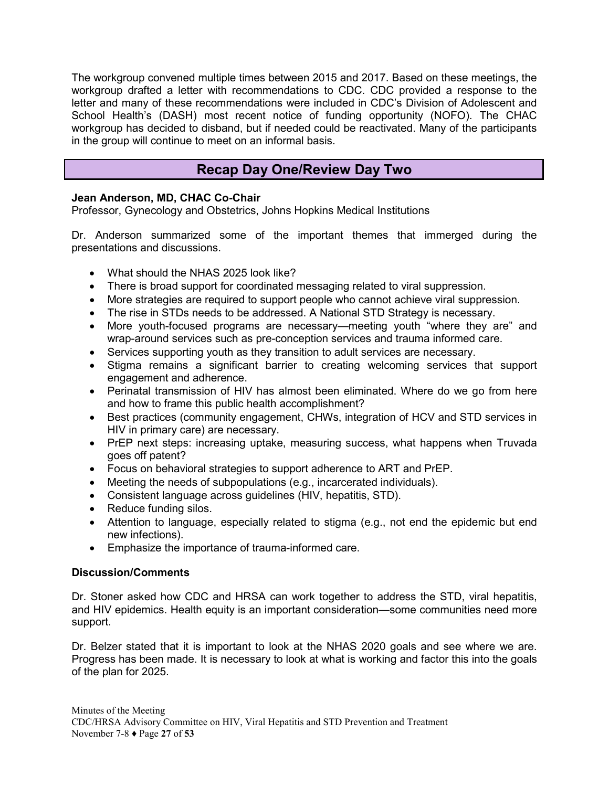The workgroup convened multiple times between 2015 and 2017. Based on these meetings, the workgroup drafted a letter with recommendations to CDC. CDC provided a response to the letter and many of these recommendations were included in CDC's Division of Adolescent and School Health's (DASH) most recent notice of funding opportunity (NOFO). The CHAC workgroup has decided to disband, but if needed could be reactivated. Many of the participants in the group will continue to meet on an informal basis.

### **Recap Day One/Review Day Two**

#### <span id="page-26-0"></span>**Jean Anderson, MD, CHAC Co-Chair**

Professor, Gynecology and Obstetrics, Johns Hopkins Medical Institutions

Dr. Anderson summarized some of the important themes that immerged during the presentations and discussions.

- What should the NHAS 2025 look like?
- There is broad support for coordinated messaging related to viral suppression.
- More strategies are required to support people who cannot achieve viral suppression.
- The rise in STDs needs to be addressed. A National STD Strategy is necessary.
- More youth-focused programs are necessary—meeting youth "where they are" and wrap-around services such as pre-conception services and trauma informed care.
- Services supporting youth as they transition to adult services are necessary.
- Stigma remains a significant barrier to creating welcoming services that support engagement and adherence.
- Perinatal transmission of HIV has almost been eliminated. Where do we go from here and how to frame this public health accomplishment?
- Best practices (community engagement, CHWs, integration of HCV and STD services in HIV in primary care) are necessary.
- PrEP next steps: increasing uptake, measuring success, what happens when Truvada goes off patent?
- Focus on behavioral strategies to support adherence to ART and PrEP.
- Meeting the needs of subpopulations (e.g., incarcerated individuals).
- Consistent language across guidelines (HIV, hepatitis, STD).
- Reduce funding silos.
- Attention to language, especially related to stigma (e.g., not end the epidemic but end new infections).
- Emphasize the importance of trauma-informed care.

#### **Discussion/Comments**

Dr. Stoner asked how CDC and HRSA can work together to address the STD, viral hepatitis, and HIV epidemics. Health equity is an important consideration—some communities need more support.

Dr. Belzer stated that it is important to look at the NHAS 2020 goals and see where we are. Progress has been made. It is necessary to look at what is working and factor this into the goals of the plan for 2025.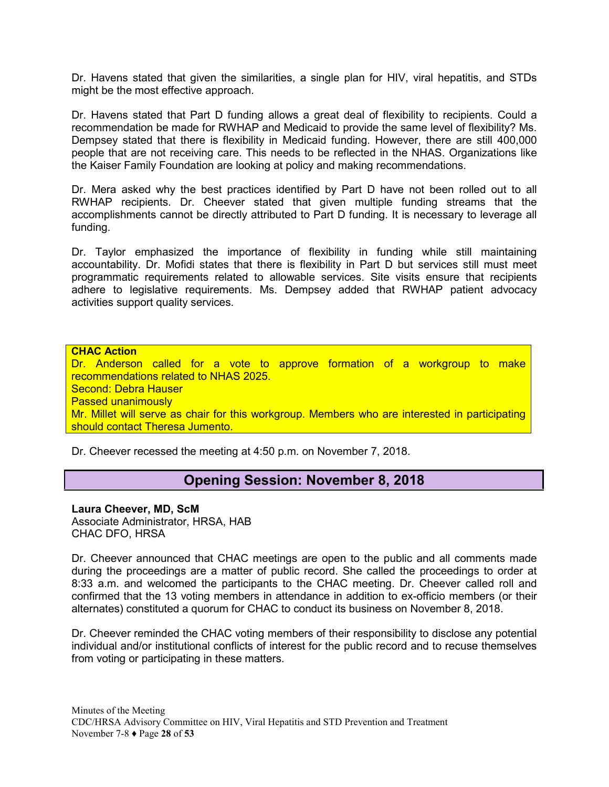Dr. Havens stated that given the similarities, a single plan for HIV, viral hepatitis, and STDs might be the most effective approach.

Dr. Havens stated that Part D funding allows a great deal of flexibility to recipients. Could a recommendation be made for RWHAP and Medicaid to provide the same level of flexibility? Ms. Dempsey stated that there is flexibility in Medicaid funding. However, there are still 400,000 people that are not receiving care. This needs to be reflected in the NHAS. Organizations like the Kaiser Family Foundation are looking at policy and making recommendations.

Dr. Mera asked why the best practices identified by Part D have not been rolled out to all RWHAP recipients. Dr. Cheever stated that given multiple funding streams that the accomplishments cannot be directly attributed to Part D funding. It is necessary to leverage all funding.

Dr. Taylor emphasized the importance of flexibility in funding while still maintaining accountability. Dr. Mofidi states that there is flexibility in Part D but services still must meet programmatic requirements related to allowable services. Site visits ensure that recipients adhere to legislative requirements. Ms. Dempsey added that RWHAP patient advocacy activities support quality services.

**CHAC Action** Dr. Anderson called for a vote to approve formation of a workgroup to make recommendations related to NHAS 2025. Second: Debra Hauser Passed unanimously Mr. Millet will serve as chair for this workgroup. Members who are interested in participating should contact Theresa Jumento.

<span id="page-27-0"></span>Dr. Cheever recessed the meeting at 4:50 p.m. on November 7, 2018.

### **Opening Session: November 8, 2018**

#### **Laura Cheever, MD, ScM**

Associate Administrator, HRSA, HAB CHAC DFO, HRSA

Dr. Cheever announced that CHAC meetings are open to the public and all comments made during the proceedings are a matter of public record. She called the proceedings to order at 8:33 a.m. and welcomed the participants to the CHAC meeting. Dr. Cheever called roll and confirmed that the 13 voting members in attendance in addition to ex-officio members (or their alternates) constituted a quorum for CHAC to conduct its business on November 8, 2018.

Dr. Cheever reminded the CHAC voting members of their responsibility to disclose any potential individual and/or institutional conflicts of interest for the public record and to recuse themselves from voting or participating in these matters.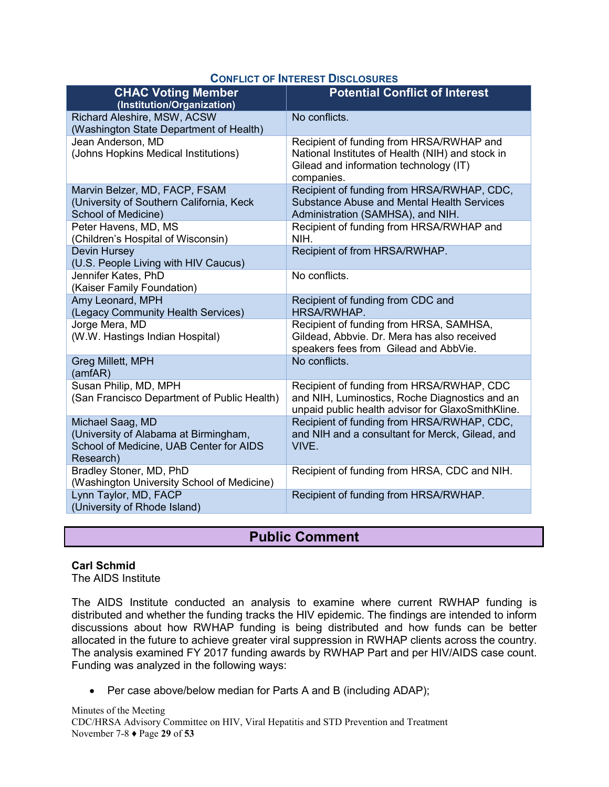#### **CONFLICT OF INTEREST DISCLOSURES**

| <b>CHAC Voting Member</b><br>(Institution/Organization)                                                           | <b>Potential Conflict of Interest</b>                                                                                                                |
|-------------------------------------------------------------------------------------------------------------------|------------------------------------------------------------------------------------------------------------------------------------------------------|
| Richard Aleshire, MSW, ACSW<br>(Washington State Department of Health)                                            | No conflicts.                                                                                                                                        |
| Jean Anderson, MD<br>(Johns Hopkins Medical Institutions)                                                         | Recipient of funding from HRSA/RWHAP and<br>National Institutes of Health (NIH) and stock in<br>Gilead and information technology (IT)<br>companies. |
| Marvin Belzer, MD, FACP, FSAM<br>(University of Southern California, Keck<br>School of Medicine)                  | Recipient of funding from HRSA/RWHAP, CDC,<br><b>Substance Abuse and Mental Health Services</b><br>Administration (SAMHSA), and NIH.                 |
| Peter Havens, MD, MS<br>(Children's Hospital of Wisconsin)                                                        | Recipient of funding from HRSA/RWHAP and<br>NIH.                                                                                                     |
| <b>Devin Hursey</b><br>(U.S. People Living with HIV Caucus)                                                       | Recipient of from HRSA/RWHAP.                                                                                                                        |
| Jennifer Kates, PhD<br>(Kaiser Family Foundation)                                                                 | No conflicts.                                                                                                                                        |
| Amy Leonard, MPH<br>(Legacy Community Health Services)                                                            | Recipient of funding from CDC and<br>HRSA/RWHAP.                                                                                                     |
| Jorge Mera, MD<br>(W.W. Hastings Indian Hospital)                                                                 | Recipient of funding from HRSA, SAMHSA,<br>Gildead, Abbvie. Dr. Mera has also received<br>speakers fees from Gilead and AbbVie.                      |
| Greg Millett, MPH<br>(amfAR)                                                                                      | No conflicts.                                                                                                                                        |
| Susan Philip, MD, MPH<br>(San Francisco Department of Public Health)                                              | Recipient of funding from HRSA/RWHAP, CDC<br>and NIH, Luminostics, Roche Diagnostics and an<br>unpaid public health advisor for GlaxoSmithKline.     |
| Michael Saag, MD<br>(University of Alabama at Birmingham,<br>School of Medicine, UAB Center for AIDS<br>Research) | Recipient of funding from HRSA/RWHAP, CDC,<br>and NIH and a consultant for Merck, Gilead, and<br>VIVE.                                               |
| Bradley Stoner, MD, PhD<br>(Washington University School of Medicine)                                             | Recipient of funding from HRSA, CDC and NIH.                                                                                                         |
| Lynn Taylor, MD, FACP<br>(University of Rhode Island)                                                             | Recipient of funding from HRSA/RWHAP.                                                                                                                |

### **Public Comment**

#### <span id="page-28-0"></span>**Carl Schmid**

The AIDS Institute

The AIDS Institute conducted an analysis to examine where current RWHAP funding is distributed and whether the funding tracks the HIV epidemic. The findings are intended to inform discussions about how RWHAP funding is being distributed and how funds can be better allocated in the future to achieve greater viral suppression in RWHAP clients across the country. The analysis examined FY 2017 funding awards by RWHAP Part and per HIV/AIDS case count. Funding was analyzed in the following ways:

• Per case above/below median for Parts A and B (including ADAP);

Minutes of the Meeting CDC/HRSA Advisory Committee on HIV, Viral Hepatitis and STD Prevention and Treatment November 7-8 ♦ Page **29** of **53**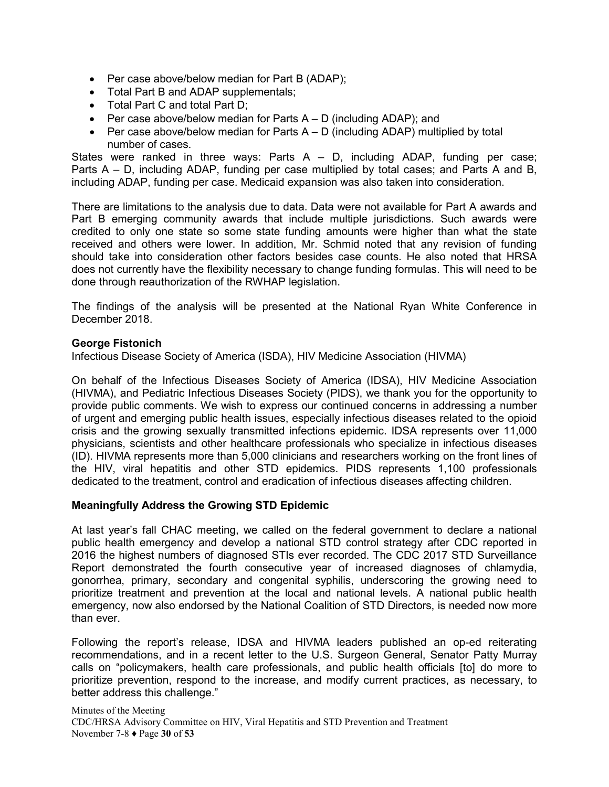- Per case above/below median for Part B (ADAP);
- Total Part B and ADAP supplementals;
- Total Part C and total Part D;
- Per case above/below median for Parts  $A D$  (including ADAP); and
- Per case above/below median for Parts  $A D$  (including ADAP) multiplied by total number of cases.

States were ranked in three ways: Parts  $A - D$ , including ADAP, funding per case; Parts A – D, including ADAP, funding per case multiplied by total cases; and Parts A and B, including ADAP, funding per case. Medicaid expansion was also taken into consideration.

There are limitations to the analysis due to data. Data were not available for Part A awards and Part B emerging community awards that include multiple jurisdictions. Such awards were credited to only one state so some state funding amounts were higher than what the state received and others were lower. In addition, Mr. Schmid noted that any revision of funding should take into consideration other factors besides case counts. He also noted that HRSA does not currently have the flexibility necessary to change funding formulas. This will need to be done through reauthorization of the RWHAP legislation.

The findings of the analysis will be presented at the National Ryan White Conference in December 2018.

#### **George Fistonich**

Infectious Disease Society of America (ISDA), HIV Medicine Association (HIVMA)

On behalf of the Infectious Diseases Society of America (IDSA), HIV Medicine Association (HIVMA), and Pediatric Infectious Diseases Society (PIDS), we thank you for the opportunity to provide public comments. We wish to express our continued concerns in addressing a number of urgent and emerging public health issues, especially infectious diseases related to the opioid crisis and the growing sexually transmitted infections epidemic. IDSA represents over 11,000 physicians, scientists and other healthcare professionals who specialize in infectious diseases (ID). HIVMA represents more than 5,000 clinicians and researchers working on the front lines of the HIV, viral hepatitis and other STD epidemics. PIDS represents 1,100 professionals dedicated to the treatment, control and eradication of infectious diseases affecting children.

#### **Meaningfully Address the Growing STD Epidemic**

At last year's fall CHAC meeting, we called on the federal government to declare a national public health emergency and develop a national STD control strategy after CDC reported in 2016 the highest numbers of diagnosed STIs ever recorded. The CDC 2017 STD Surveillance Report demonstrated the fourth consecutive year of increased diagnoses of chlamydia, gonorrhea, primary, secondary and congenital syphilis, underscoring the growing need to prioritize treatment and prevention at the local and national levels. A national public health emergency, now also endorsed by the National Coalition of STD Directors, is needed now more than ever.

Following the report's release, IDSA and HIVMA leaders published an op-ed reiterating recommendations, and in a recent letter to the U.S. Surgeon General, Senator Patty Murray calls on "policymakers, health care professionals, and public health officials [to] do more to prioritize prevention, respond to the increase, and modify current practices, as necessary, to better address this challenge."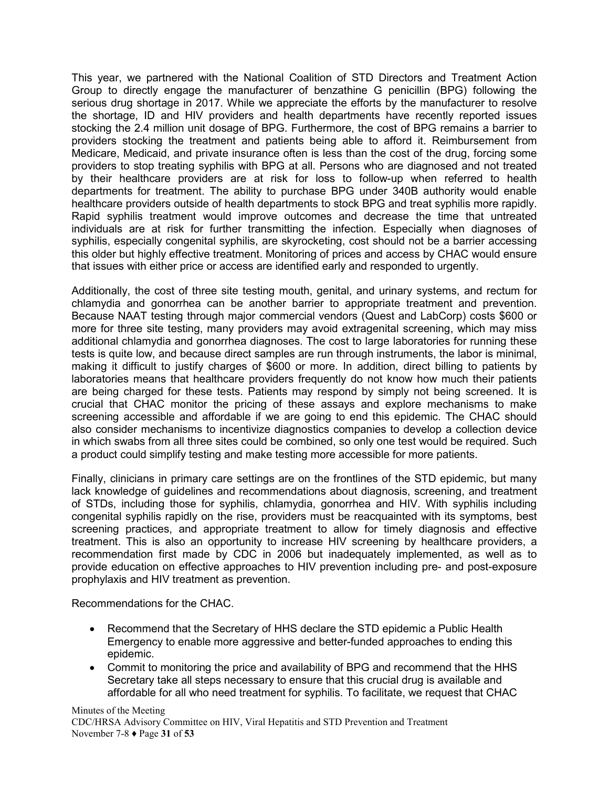This year, we partnered with the National Coalition of STD Directors and Treatment Action Group to directly engage the manufacturer of benzathine G penicillin (BPG) following the serious drug shortage in 2017. While we appreciate the efforts by the manufacturer to resolve the shortage, ID and HIV providers and health departments have recently reported issues stocking the 2.4 million unit dosage of BPG. Furthermore, the cost of BPG remains a barrier to providers stocking the treatment and patients being able to afford it. Reimbursement from Medicare, Medicaid, and private insurance often is less than the cost of the drug, forcing some providers to stop treating syphilis with BPG at all. Persons who are diagnosed and not treated by their healthcare providers are at risk for loss to follow-up when referred to health departments for treatment. The ability to purchase BPG under 340B authority would enable healthcare providers outside of health departments to stock BPG and treat syphilis more rapidly. Rapid syphilis treatment would improve outcomes and decrease the time that untreated individuals are at risk for further transmitting the infection. Especially when diagnoses of syphilis, especially congenital syphilis, are skyrocketing, cost should not be a barrier accessing this older but highly effective treatment. Monitoring of prices and access by CHAC would ensure that issues with either price or access are identified early and responded to urgently.

Additionally, the cost of three site testing mouth, genital, and urinary systems, and rectum for chlamydia and gonorrhea can be another barrier to appropriate treatment and prevention. Because NAAT testing through major commercial vendors (Quest and LabCorp) costs \$600 or more for three site testing, many providers may avoid extragenital screening, which may miss additional chlamydia and gonorrhea diagnoses. The cost to large laboratories for running these tests is quite low, and because direct samples are run through instruments, the labor is minimal, making it difficult to justify charges of \$600 or more. In addition, direct billing to patients by laboratories means that healthcare providers frequently do not know how much their patients are being charged for these tests. Patients may respond by simply not being screened. It is crucial that CHAC monitor the pricing of these assays and explore mechanisms to make screening accessible and affordable if we are going to end this epidemic. The CHAC should also consider mechanisms to incentivize diagnostics companies to develop a collection device in which swabs from all three sites could be combined, so only one test would be required. Such a product could simplify testing and make testing more accessible for more patients.

Finally, clinicians in primary care settings are on the frontlines of the STD epidemic, but many lack knowledge of guidelines and recommendations about diagnosis, screening, and treatment of STDs, including those for syphilis, chlamydia, gonorrhea and HIV. With syphilis including congenital syphilis rapidly on the rise, providers must be reacquainted with its symptoms, best screening practices, and appropriate treatment to allow for timely diagnosis and effective treatment. This is also an opportunity to increase HIV screening by healthcare providers, a recommendation first made by CDC in 2006 but inadequately implemented, as well as to provide education on effective approaches to HIV prevention including pre- and post-exposure prophylaxis and HIV treatment as prevention.

Recommendations for the CHAC.

- Recommend that the Secretary of HHS declare the STD epidemic a Public Health Emergency to enable more aggressive and better-funded approaches to ending this epidemic.
- Commit to monitoring the price and availability of BPG and recommend that the HHS Secretary take all steps necessary to ensure that this crucial drug is available and affordable for all who need treatment for syphilis. To facilitate, we request that CHAC

Minutes of the Meeting CDC/HRSA Advisory Committee on HIV, Viral Hepatitis and STD Prevention and Treatment November 7-8 ♦ Page **31** of **53**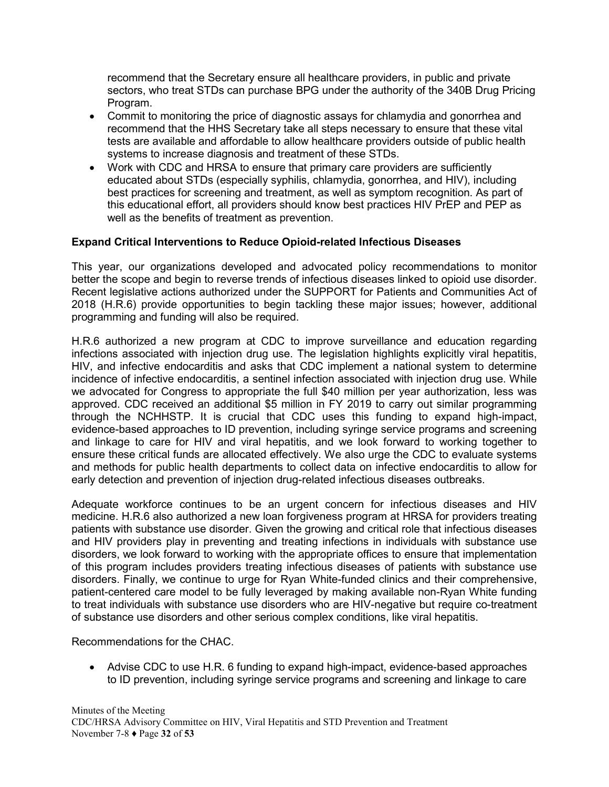recommend that the Secretary ensure all healthcare providers, in public and private sectors, who treat STDs can purchase BPG under the authority of the 340B Drug Pricing Program.

- Commit to monitoring the price of diagnostic assays for chlamydia and gonorrhea and recommend that the HHS Secretary take all steps necessary to ensure that these vital tests are available and affordable to allow healthcare providers outside of public health systems to increase diagnosis and treatment of these STDs.
- Work with CDC and HRSA to ensure that primary care providers are sufficiently educated about STDs (especially syphilis, chlamydia, gonorrhea, and HIV), including best practices for screening and treatment, as well as symptom recognition. As part of this educational effort, all providers should know best practices HIV PrEP and PEP as well as the benefits of treatment as prevention.

#### **Expand Critical Interventions to Reduce Opioid-related Infectious Diseases**

This year, our organizations developed and advocated policy recommendations to monitor better the scope and begin to reverse trends of infectious diseases linked to opioid use disorder. Recent legislative actions authorized under the SUPPORT for Patients and Communities Act of 2018 (H.R.6) provide opportunities to begin tackling these major issues; however, additional programming and funding will also be required.

H.R.6 authorized a new program at CDC to improve surveillance and education regarding infections associated with injection drug use. The legislation highlights explicitly viral hepatitis, HIV, and infective endocarditis and asks that CDC implement a national system to determine incidence of infective endocarditis, a sentinel infection associated with injection drug use. While we advocated for Congress to appropriate the full \$40 million per year authorization, less was approved. CDC received an additional \$5 million in FY 2019 to carry out similar programming through the NCHHSTP. It is crucial that CDC uses this funding to expand high-impact, evidence-based approaches to ID prevention, including syringe service programs and screening and linkage to care for HIV and viral hepatitis, and we look forward to working together to ensure these critical funds are allocated effectively. We also urge the CDC to evaluate systems and methods for public health departments to collect data on infective endocarditis to allow for early detection and prevention of injection drug-related infectious diseases outbreaks.

Adequate workforce continues to be an urgent concern for infectious diseases and HIV medicine. H.R.6 also authorized a new loan forgiveness program at HRSA for providers treating patients with substance use disorder. Given the growing and critical role that infectious diseases and HIV providers play in preventing and treating infections in individuals with substance use disorders, we look forward to working with the appropriate offices to ensure that implementation of this program includes providers treating infectious diseases of patients with substance use disorders. Finally, we continue to urge for Ryan White-funded clinics and their comprehensive, patient-centered care model to be fully leveraged by making available non-Ryan White funding to treat individuals with substance use disorders who are HIV-negative but require co-treatment of substance use disorders and other serious complex conditions, like viral hepatitis.

Recommendations for the CHAC.

• Advise CDC to use H.R. 6 funding to expand high-impact, evidence-based approaches to ID prevention, including syringe service programs and screening and linkage to care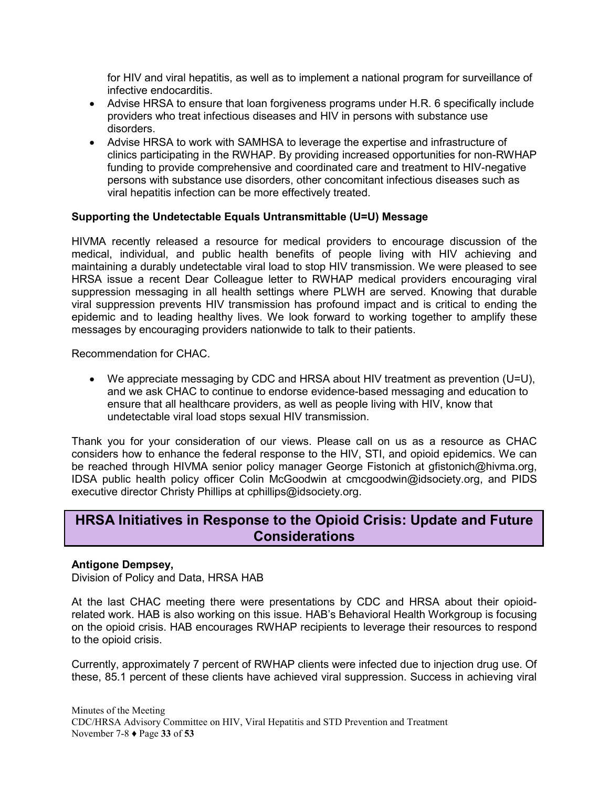for HIV and viral hepatitis, as well as to implement a national program for surveillance of infective endocarditis.

- Advise HRSA to ensure that loan forgiveness programs under H.R. 6 specifically include providers who treat infectious diseases and HIV in persons with substance use disorders.
- Advise HRSA to work with SAMHSA to leverage the expertise and infrastructure of clinics participating in the RWHAP. By providing increased opportunities for non-RWHAP funding to provide comprehensive and coordinated care and treatment to HIV-negative persons with substance use disorders, other concomitant infectious diseases such as viral hepatitis infection can be more effectively treated.

#### **Supporting the Undetectable Equals Untransmittable (U=U) Message**

HIVMA recently released a resource for medical providers to encourage discussion of the medical, individual, and public health benefits of people living with HIV achieving and maintaining a durably undetectable viral load to stop HIV transmission. We were pleased to see HRSA issue a recent Dear Colleague letter to RWHAP medical providers encouraging viral suppression messaging in all health settings where PLWH are served. Knowing that durable viral suppression prevents HIV transmission has profound impact and is critical to ending the epidemic and to leading healthy lives. We look forward to working together to amplify these messages by encouraging providers nationwide to talk to their patients.

Recommendation for CHAC.

• We appreciate messaging by CDC and HRSA about HIV treatment as prevention (U=U), and we ask CHAC to continue to endorse evidence-based messaging and education to ensure that all healthcare providers, as well as people living with HIV, know that undetectable viral load stops sexual HIV transmission.

Thank you for your consideration of our views. Please call on us as a resource as CHAC considers how to enhance the federal response to the HIV, STI, and opioid epidemics. We can be reached through HIVMA senior policy manager George Fistonich at gfistonich@hivma.org, IDSA public health policy officer Colin McGoodwin at cmcgoodwin@idsociety.org, and PIDS executive director Christy Phillips at cphillips@idsociety.org.

### <span id="page-32-0"></span>**HRSA Initiatives in Response to the Opioid Crisis: Update and Future Considerations**

#### **Antigone Dempsey,**

Division of Policy and Data, HRSA HAB

At the last CHAC meeting there were presentations by CDC and HRSA about their opioidrelated work. HAB is also working on this issue. HAB's Behavioral Health Workgroup is focusing on the opioid crisis. HAB encourages RWHAP recipients to leverage their resources to respond to the opioid crisis.

Currently, approximately 7 percent of RWHAP clients were infected due to injection drug use. Of these, 85.1 percent of these clients have achieved viral suppression. Success in achieving viral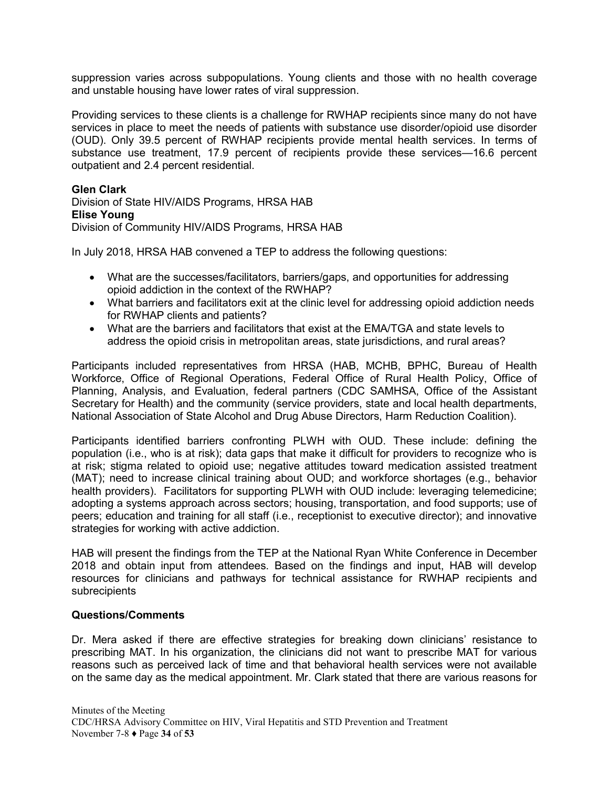suppression varies across subpopulations. Young clients and those with no health coverage and unstable housing have lower rates of viral suppression.

Providing services to these clients is a challenge for RWHAP recipients since many do not have services in place to meet the needs of patients with substance use disorder/opioid use disorder (OUD). Only 39.5 percent of RWHAP recipients provide mental health services. In terms of substance use treatment, 17.9 percent of recipients provide these services—16.6 percent outpatient and 2.4 percent residential.

#### **Glen Clark**

Division of State HIV/AIDS Programs, HRSA HAB **Elise Young** Division of Community HIV/AIDS Programs, HRSA HAB

In July 2018, HRSA HAB convened a TEP to address the following questions:

- What are the successes/facilitators, barriers/gaps, and opportunities for addressing opioid addiction in the context of the RWHAP?
- What barriers and facilitators exit at the clinic level for addressing opioid addiction needs for RWHAP clients and patients?
- What are the barriers and facilitators that exist at the EMA/TGA and state levels to address the opioid crisis in metropolitan areas, state jurisdictions, and rural areas?

Participants included representatives from HRSA (HAB, MCHB, BPHC, Bureau of Health Workforce, Office of Regional Operations, Federal Office of Rural Health Policy, Office of Planning, Analysis, and Evaluation, federal partners (CDC SAMHSA, Office of the Assistant Secretary for Health) and the community (service providers, state and local health departments, National Association of State Alcohol and Drug Abuse Directors, Harm Reduction Coalition).

Participants identified barriers confronting PLWH with OUD. These include: defining the population (i.e., who is at risk); data gaps that make it difficult for providers to recognize who is at risk; stigma related to opioid use; negative attitudes toward medication assisted treatment (MAT); need to increase clinical training about OUD; and workforce shortages (e.g., behavior health providers). Facilitators for supporting PLWH with OUD include: leveraging telemedicine; adopting a systems approach across sectors; housing, transportation, and food supports; use of peers; education and training for all staff (i.e., receptionist to executive director); and innovative strategies for working with active addiction.

HAB will present the findings from the TEP at the National Ryan White Conference in December 2018 and obtain input from attendees. Based on the findings and input, HAB will develop resources for clinicians and pathways for technical assistance for RWHAP recipients and subrecipients

#### **Questions/Comments**

Dr. Mera asked if there are effective strategies for breaking down clinicians' resistance to prescribing MAT. In his organization, the clinicians did not want to prescribe MAT for various reasons such as perceived lack of time and that behavioral health services were not available on the same day as the medical appointment. Mr. Clark stated that there are various reasons for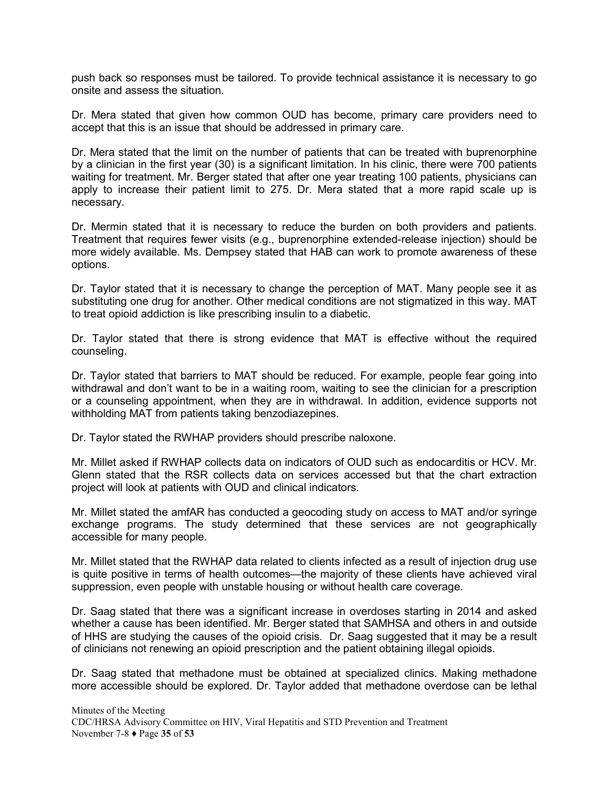push back so responses must be tailored. To provide technical assistance it is necessary to go onsite and assess the situation.

Dr. Mera stated that given how common OUD has become, primary care providers need to accept that this is an issue that should be addressed in primary care.

Dr. Mera stated that the limit on the number of patients that can be treated with buprenorphine by a clinician in the first year (30) is a significant limitation. In his clinic, there were 700 patients waiting for treatment. Mr. Berger stated that after one year treating 100 patients, physicians can apply to increase their patient limit to 275. Dr. Mera stated that a more rapid scale up is necessary.

Dr. Mermin stated that it is necessary to reduce the burden on both providers and patients. Treatment that requires fewer visits (e.g., buprenorphine extended-release injection) should be more widely available. Ms. Dempsey stated that HAB can work to promote awareness of these options.

Dr. Taylor stated that it is necessary to change the perception of MAT. Many people see it as substituting one drug for another. Other medical conditions are not stigmatized in this way. MAT to treat opioid addiction is like prescribing insulin to a diabetic.

Dr. Taylor stated that there is strong evidence that MAT is effective without the required counseling.

Dr. Taylor stated that barriers to MAT should be reduced. For example, people fear going into withdrawal and don't want to be in a waiting room, waiting to see the clinician for a prescription or a counseling appointment, when they are in withdrawal. In addition, evidence supports not withholding MAT from patients taking benzodiazepines.

Dr. Taylor stated the RWHAP providers should prescribe naloxone.

Mr. Millet asked if RWHAP collects data on indicators of OUD such as endocarditis or HCV. Mr. Glenn stated that the RSR collects data on services accessed but that the chart extraction project will look at patients with OUD and clinical indicators.

Mr. Millet stated the amfAR has conducted a geocoding study on access to MAT and/or syringe exchange programs. The study determined that these services are not geographically accessible for many people.

Mr. Millet stated that the RWHAP data related to clients infected as a result of injection drug use is quite positive in terms of health outcomes—the majority of these clients have achieved viral suppression, even people with unstable housing or without health care coverage.

Dr. Saag stated that there was a significant increase in overdoses starting in 2014 and asked whether a cause has been identified. Mr. Berger stated that SAMHSA and others in and outside of HHS are studying the causes of the opioid crisis. Dr. Saag suggested that it may be a result of clinicians not renewing an opioid prescription and the patient obtaining illegal opioids.

Dr. Saag stated that methadone must be obtained at specialized clinics. Making methadone more accessible should be explored. Dr. Taylor added that methadone overdose can be lethal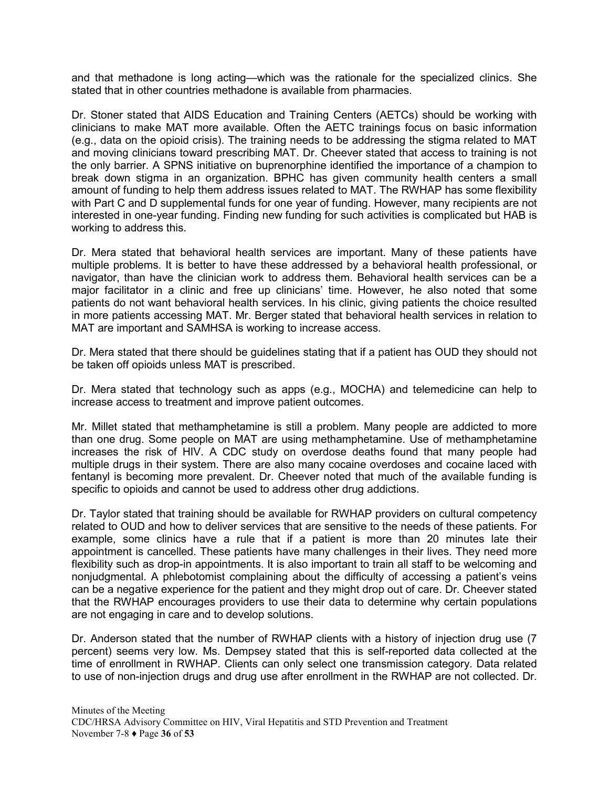and that methadone is long acting—which was the rationale for the specialized clinics. She stated that in other countries methadone is available from pharmacies.

Dr. Stoner stated that AIDS Education and Training Centers (AETCs) should be working with clinicians to make MAT more available. Often the AETC trainings focus on basic information (e.g., data on the opioid crisis). The training needs to be addressing the stigma related to MAT and moving clinicians toward prescribing MAT. Dr. Cheever stated that access to training is not the only barrier. A SPNS initiative on buprenorphine identified the importance of a champion to break down stigma in an organization. BPHC has given community health centers a small amount of funding to help them address issues related to MAT. The RWHAP has some flexibility with Part C and D supplemental funds for one year of funding. However, many recipients are not interested in one-year funding. Finding new funding for such activities is complicated but HAB is working to address this.

Dr. Mera stated that behavioral health services are important. Many of these patients have multiple problems. It is better to have these addressed by a behavioral health professional, or navigator, than have the clinician work to address them. Behavioral health services can be a major facilitator in a clinic and free up clinicians' time. However, he also noted that some patients do not want behavioral health services. In his clinic, giving patients the choice resulted in more patients accessing MAT. Mr. Berger stated that behavioral health services in relation to MAT are important and SAMHSA is working to increase access.

Dr. Mera stated that there should be guidelines stating that if a patient has OUD they should not be taken off opioids unless MAT is prescribed.

Dr. Mera stated that technology such as apps (e.g., MOCHA) and telemedicine can help to increase access to treatment and improve patient outcomes.

Mr. Millet stated that methamphetamine is still a problem. Many people are addicted to more than one drug. Some people on MAT are using methamphetamine. Use of methamphetamine increases the risk of HIV. A CDC study on overdose deaths found that many people had multiple drugs in their system. There are also many cocaine overdoses and cocaine laced with fentanyl is becoming more prevalent. Dr. Cheever noted that much of the available funding is specific to opioids and cannot be used to address other drug addictions.

Dr. Taylor stated that training should be available for RWHAP providers on cultural competency related to OUD and how to deliver services that are sensitive to the needs of these patients. For example, some clinics have a rule that if a patient is more than 20 minutes late their appointment is cancelled. These patients have many challenges in their lives. They need more flexibility such as drop-in appointments. It is also important to train all staff to be welcoming and nonjudgmental. A phlebotomist complaining about the difficulty of accessing a patient's veins can be a negative experience for the patient and they might drop out of care. Dr. Cheever stated that the RWHAP encourages providers to use their data to determine why certain populations are not engaging in care and to develop solutions.

Dr. Anderson stated that the number of RWHAP clients with a history of injection drug use (7 percent) seems very low. Ms. Dempsey stated that this is self-reported data collected at the time of enrollment in RWHAP. Clients can only select one transmission category. Data related to use of non-injection drugs and drug use after enrollment in the RWHAP are not collected. Dr.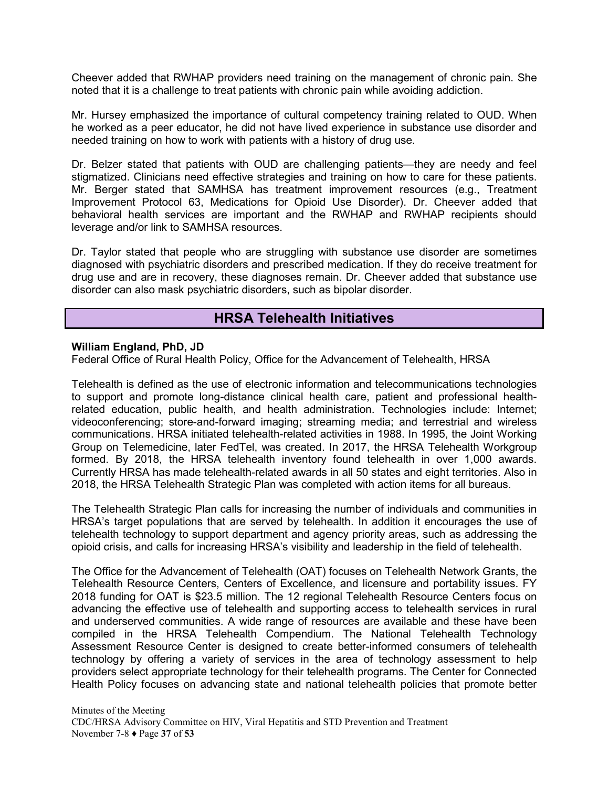Cheever added that RWHAP providers need training on the management of chronic pain. She noted that it is a challenge to treat patients with chronic pain while avoiding addiction.

Mr. Hursey emphasized the importance of cultural competency training related to OUD. When he worked as a peer educator, he did not have lived experience in substance use disorder and needed training on how to work with patients with a history of drug use.

Dr. Belzer stated that patients with OUD are challenging patients—they are needy and feel stigmatized. Clinicians need effective strategies and training on how to care for these patients. Mr. Berger stated that SAMHSA has treatment improvement resources (e.g., Treatment Improvement Protocol 63, Medications for Opioid Use Disorder). Dr. Cheever added that behavioral health services are important and the RWHAP and RWHAP recipients should leverage and/or link to SAMHSA resources.

Dr. Taylor stated that people who are struggling with substance use disorder are sometimes diagnosed with psychiatric disorders and prescribed medication. If they do receive treatment for drug use and are in recovery, these diagnoses remain. Dr. Cheever added that substance use disorder can also mask psychiatric disorders, such as bipolar disorder.

### **HRSA Telehealth Initiatives**

#### <span id="page-36-0"></span>**William England, PhD, JD**

Federal Office of Rural Health Policy, Office for the Advancement of Telehealth, HRSA

Telehealth is defined as the use of electronic information and telecommunications technologies to support and promote long-distance clinical health care, patient and professional healthrelated education, public health, and health administration. Technologies include: Internet; videoconferencing; store-and-forward imaging; streaming media; and terrestrial and wireless communications. HRSA initiated telehealth-related activities in 1988. In 1995, the Joint Working Group on Telemedicine, later FedTel, was created. In 2017, the HRSA Telehealth Workgroup formed. By 2018, the HRSA telehealth inventory found telehealth in over 1,000 awards. Currently HRSA has made telehealth-related awards in all 50 states and eight territories. Also in 2018, the HRSA Telehealth Strategic Plan was completed with action items for all bureaus.

The Telehealth Strategic Plan calls for increasing the number of individuals and communities in HRSA's target populations that are served by telehealth. In addition it encourages the use of telehealth technology to support department and agency priority areas, such as addressing the opioid crisis, and calls for increasing HRSA's visibility and leadership in the field of telehealth.

The Office for the Advancement of Telehealth (OAT) focuses on Telehealth Network Grants, the Telehealth Resource Centers, Centers of Excellence, and licensure and portability issues. FY 2018 funding for OAT is \$23.5 million. The 12 regional Telehealth Resource Centers focus on advancing the effective use of telehealth and supporting access to telehealth services in rural and underserved communities. A wide range of resources are available and these have been compiled in the HRSA Telehealth Compendium. The National Telehealth Technology Assessment Resource Center is designed to create better-informed consumers of telehealth technology by offering a variety of services in the area of technology assessment to help providers select appropriate technology for their telehealth programs. The Center for Connected Health Policy focuses on advancing state and national telehealth policies that promote better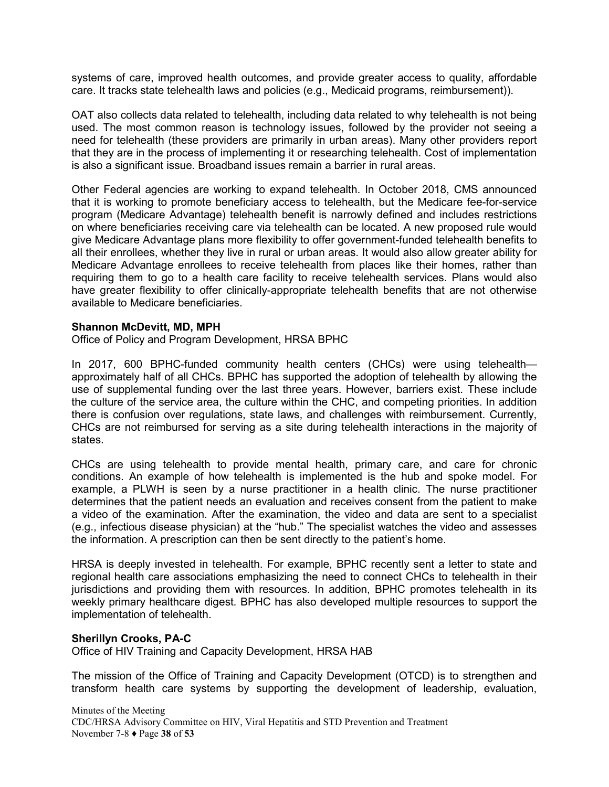systems of care, improved health outcomes, and provide greater access to quality, affordable care. It tracks state telehealth laws and policies (e.g., Medicaid programs, reimbursement)).

OAT also collects data related to telehealth, including data related to why telehealth is not being used. The most common reason is technology issues, followed by the provider not seeing a need for telehealth (these providers are primarily in urban areas). Many other providers report that they are in the process of implementing it or researching telehealth. Cost of implementation is also a significant issue. Broadband issues remain a barrier in rural areas.

Other Federal agencies are working to expand telehealth. In October 2018, CMS announced that it is working to promote beneficiary access to telehealth, but the Medicare fee-for-service program (Medicare Advantage) telehealth benefit is narrowly defined and includes restrictions on where beneficiaries receiving care via telehealth can be located. A new proposed rule would give Medicare Advantage plans more flexibility to offer government-funded telehealth benefits to all their enrollees, whether they live in rural or urban areas. It would also allow greater ability for Medicare Advantage enrollees to receive telehealth from places like their homes, rather than requiring them to go to a health care facility to receive telehealth services. Plans would also have greater flexibility to offer clinically-appropriate telehealth benefits that are not otherwise available to Medicare beneficiaries.

#### **Shannon McDevitt, MD, MPH**

Office of Policy and Program Development, HRSA BPHC

In 2017, 600 BPHC-funded community health centers (CHCs) were using telehealth approximately half of all CHCs. BPHC has supported the adoption of telehealth by allowing the use of supplemental funding over the last three years. However, barriers exist. These include the culture of the service area, the culture within the CHC, and competing priorities. In addition there is confusion over regulations, state laws, and challenges with reimbursement. Currently, CHCs are not reimbursed for serving as a site during telehealth interactions in the majority of states.

CHCs are using telehealth to provide mental health, primary care, and care for chronic conditions. An example of how telehealth is implemented is the hub and spoke model. For example, a PLWH is seen by a nurse practitioner in a health clinic. The nurse practitioner determines that the patient needs an evaluation and receives consent from the patient to make a video of the examination. After the examination, the video and data are sent to a specialist (e.g., infectious disease physician) at the "hub." The specialist watches the video and assesses the information. A prescription can then be sent directly to the patient's home.

HRSA is deeply invested in telehealth. For example, BPHC recently sent a letter to state and regional health care associations emphasizing the need to connect CHCs to telehealth in their jurisdictions and providing them with resources. In addition, BPHC promotes telehealth in its weekly primary healthcare digest. BPHC has also developed multiple resources to support the implementation of telehealth.

#### **Sherillyn Crooks, PA-C**

Office of HIV Training and Capacity Development, HRSA HAB

The mission of the Office of Training and Capacity Development (OTCD) is to strengthen and transform health care systems by supporting the development of leadership, evaluation,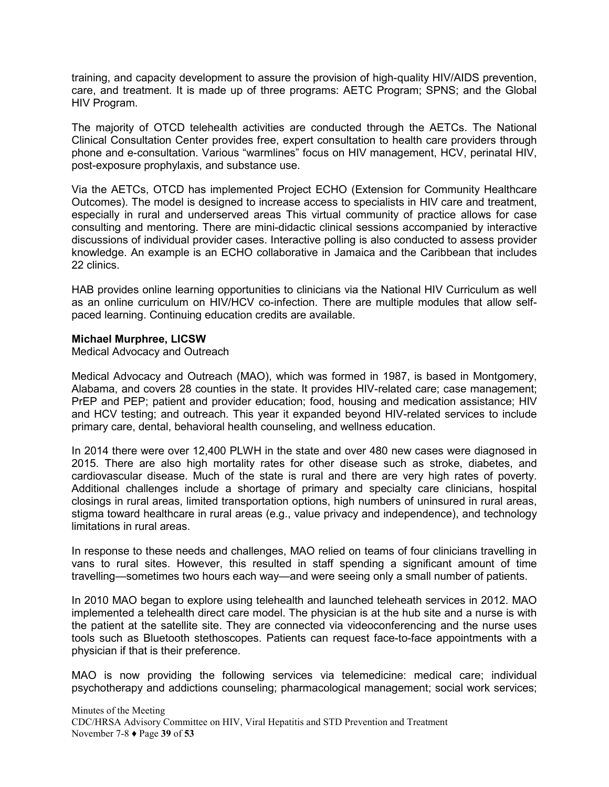training, and capacity development to assure the provision of high-quality HIV/AIDS prevention, care, and treatment. It is made up of three programs: AETC Program; SPNS; and the Global HIV Program.

The majority of OTCD telehealth activities are conducted through the AETCs. The National Clinical Consultation Center provides free, expert consultation to health care providers through phone and e-consultation. Various "warmlines" focus on HIV management, HCV, perinatal HIV, post-exposure prophylaxis, and substance use.

Via the AETCs, OTCD has implemented Project ECHO (Extension for Community Healthcare Outcomes). The model is designed to increase access to specialists in HIV care and treatment, especially in rural and underserved areas This virtual community of practice allows for case consulting and mentoring. There are mini-didactic clinical sessions accompanied by interactive discussions of individual provider cases. Interactive polling is also conducted to assess provider knowledge. An example is an ECHO collaborative in Jamaica and the Caribbean that includes 22 clinics.

HAB provides online learning opportunities to clinicians via the National HIV Curriculum as well as an online curriculum on HIV/HCV co-infection. There are multiple modules that allow selfpaced learning. Continuing education credits are available.

#### **Michael Murphree, LICSW**

Medical Advocacy and Outreach

Medical Advocacy and Outreach (MAO), which was formed in 1987, is based in Montgomery, Alabama, and covers 28 counties in the state. It provides HIV-related care; case management; PrEP and PEP; patient and provider education; food, housing and medication assistance; HIV and HCV testing; and outreach. This year it expanded beyond HIV-related services to include primary care, dental, behavioral health counseling, and wellness education.

In 2014 there were over 12,400 PLWH in the state and over 480 new cases were diagnosed in 2015. There are also high mortality rates for other disease such as stroke, diabetes, and cardiovascular disease. Much of the state is rural and there are very high rates of poverty. Additional challenges include a shortage of primary and specialty care clinicians, hospital closings in rural areas, limited transportation options, high numbers of uninsured in rural areas, stigma toward healthcare in rural areas (e.g., value privacy and independence), and technology limitations in rural areas.

In response to these needs and challenges, MAO relied on teams of four clinicians travelling in vans to rural sites. However, this resulted in staff spending a significant amount of time travelling—sometimes two hours each way—and were seeing only a small number of patients.

In 2010 MAO began to explore using telehealth and launched teleheath services in 2012. MAO implemented a telehealth direct care model. The physician is at the hub site and a nurse is with the patient at the satellite site. They are connected via videoconferencing and the nurse uses tools such as Bluetooth stethoscopes. Patients can request face-to-face appointments with a physician if that is their preference.

MAO is now providing the following services via telemedicine: medical care; individual psychotherapy and addictions counseling; pharmacological management; social work services;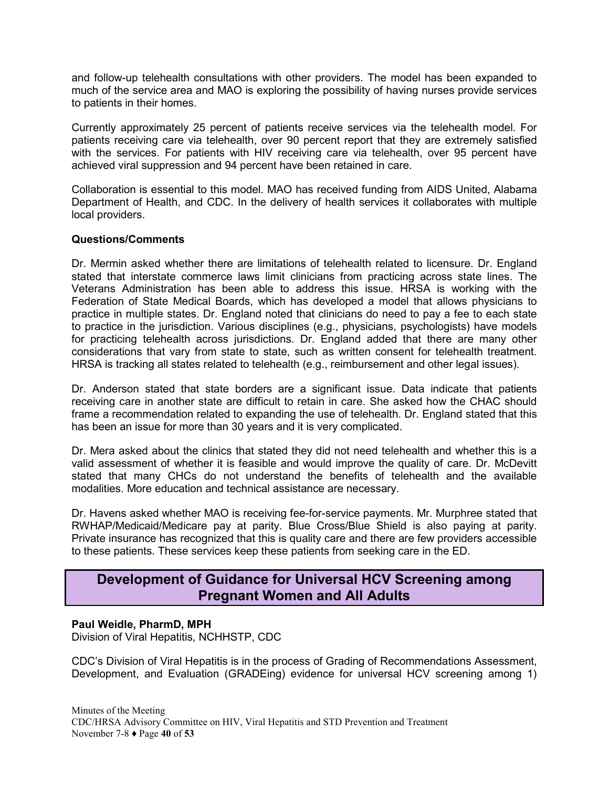and follow-up telehealth consultations with other providers. The model has been expanded to much of the service area and MAO is exploring the possibility of having nurses provide services to patients in their homes.

Currently approximately 25 percent of patients receive services via the telehealth model. For patients receiving care via telehealth, over 90 percent report that they are extremely satisfied with the services. For patients with HIV receiving care via telehealth, over 95 percent have achieved viral suppression and 94 percent have been retained in care.

Collaboration is essential to this model. MAO has received funding from AIDS United, Alabama Department of Health, and CDC. In the delivery of health services it collaborates with multiple local providers.

#### **Questions/Comments**

Dr. Mermin asked whether there are limitations of telehealth related to licensure. Dr. England stated that interstate commerce laws limit clinicians from practicing across state lines. The Veterans Administration has been able to address this issue. HRSA is working with the Federation of State Medical Boards, which has developed a model that allows physicians to practice in multiple states. Dr. England noted that clinicians do need to pay a fee to each state to practice in the jurisdiction. Various disciplines (e.g., physicians, psychologists) have models for practicing telehealth across jurisdictions. Dr. England added that there are many other considerations that vary from state to state, such as written consent for telehealth treatment. HRSA is tracking all states related to telehealth (e.g., reimbursement and other legal issues).

Dr. Anderson stated that state borders are a significant issue. Data indicate that patients receiving care in another state are difficult to retain in care. She asked how the CHAC should frame a recommendation related to expanding the use of telehealth. Dr. England stated that this has been an issue for more than 30 years and it is very complicated.

Dr. Mera asked about the clinics that stated they did not need telehealth and whether this is a valid assessment of whether it is feasible and would improve the quality of care. Dr. McDevitt stated that many CHCs do not understand the benefits of telehealth and the available modalities. More education and technical assistance are necessary.

Dr. Havens asked whether MAO is receiving fee-for-service payments. Mr. Murphree stated that RWHAP/Medicaid/Medicare pay at parity. Blue Cross/Blue Shield is also paying at parity. Private insurance has recognized that this is quality care and there are few providers accessible to these patients. These services keep these patients from seeking care in the ED.

### <span id="page-39-0"></span>**Development of Guidance for Universal HCV Screening among Pregnant Women and All Adults**

#### **Paul Weidle, PharmD, MPH**

Division of Viral Hepatitis, NCHHSTP, CDC

CDC's Division of Viral Hepatitis is in the process of Grading of Recommendations Assessment, Development, and Evaluation (GRADEing) evidence for universal HCV screening among 1)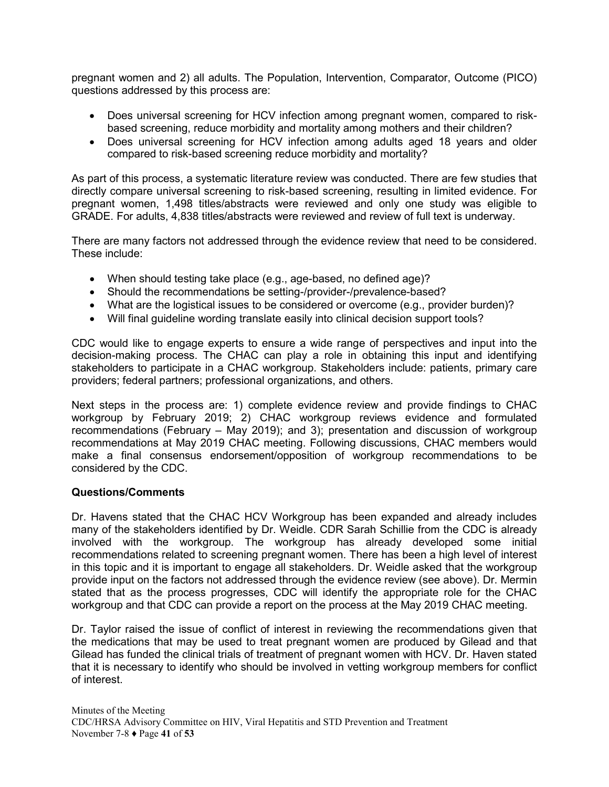pregnant women and 2) all adults. The Population, Intervention, Comparator, Outcome (PICO) questions addressed by this process are:

- Does universal screening for HCV infection among pregnant women, compared to riskbased screening, reduce morbidity and mortality among mothers and their children?
- Does universal screening for HCV infection among adults aged 18 years and older compared to risk-based screening reduce morbidity and mortality?

As part of this process, a systematic literature review was conducted. There are few studies that directly compare universal screening to risk-based screening, resulting in limited evidence. For pregnant women, 1,498 titles/abstracts were reviewed and only one study was eligible to GRADE. For adults, 4,838 titles/abstracts were reviewed and review of full text is underway.

There are many factors not addressed through the evidence review that need to be considered. These include:

- When should testing take place (e.g., age-based, no defined age)?
- Should the recommendations be setting-/provider-/prevalence-based?
- What are the logistical issues to be considered or overcome (e.g., provider burden)?
- Will final guideline wording translate easily into clinical decision support tools?

CDC would like to engage experts to ensure a wide range of perspectives and input into the decision-making process. The CHAC can play a role in obtaining this input and identifying stakeholders to participate in a CHAC workgroup. Stakeholders include: patients, primary care providers; federal partners; professional organizations, and others.

Next steps in the process are: 1) complete evidence review and provide findings to CHAC workgroup by February 2019; 2) CHAC workgroup reviews evidence and formulated recommendations (February – May 2019); and 3); presentation and discussion of workgroup recommendations at May 2019 CHAC meeting. Following discussions, CHAC members would make a final consensus endorsement/opposition of workgroup recommendations to be considered by the CDC.

#### **Questions/Comments**

Dr. Havens stated that the CHAC HCV Workgroup has been expanded and already includes many of the stakeholders identified by Dr. Weidle. CDR Sarah Schillie from the CDC is already involved with the workgroup. The workgroup has already developed some initial recommendations related to screening pregnant women. There has been a high level of interest in this topic and it is important to engage all stakeholders. Dr. Weidle asked that the workgroup provide input on the factors not addressed through the evidence review (see above). Dr. Mermin stated that as the process progresses, CDC will identify the appropriate role for the CHAC workgroup and that CDC can provide a report on the process at the May 2019 CHAC meeting.

Dr. Taylor raised the issue of conflict of interest in reviewing the recommendations given that the medications that may be used to treat pregnant women are produced by Gilead and that Gilead has funded the clinical trials of treatment of pregnant women with HCV. Dr. Haven stated that it is necessary to identify who should be involved in vetting workgroup members for conflict of interest.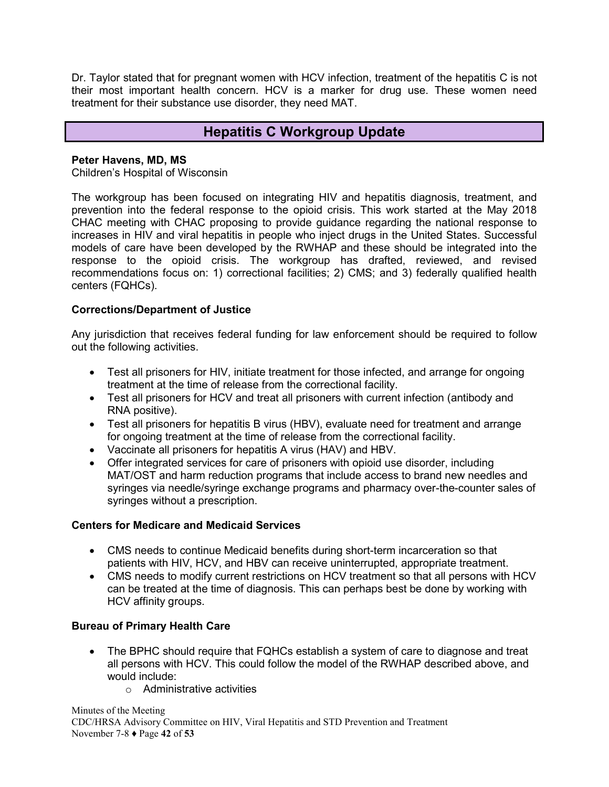Dr. Taylor stated that for pregnant women with HCV infection, treatment of the hepatitis C is not their most important health concern. HCV is a marker for drug use. These women need treatment for their substance use disorder, they need MAT.

### **Hepatitis C Workgroup Update**

#### <span id="page-41-0"></span>**Peter Havens, MD, MS**

Children's Hospital of Wisconsin

The workgroup has been focused on integrating HIV and hepatitis diagnosis, treatment, and prevention into the federal response to the opioid crisis. This work started at the May 2018 CHAC meeting with CHAC proposing to provide guidance regarding the national response to increases in HIV and viral hepatitis in people who inject drugs in the United States. Successful models of care have been developed by the RWHAP and these should be integrated into the response to the opioid crisis. The workgroup has drafted, reviewed, and revised recommendations focus on: 1) correctional facilities; 2) CMS; and 3) federally qualified health centers (FQHCs).

#### **Corrections/Department of Justice**

Any jurisdiction that receives federal funding for law enforcement should be required to follow out the following activities.

- Test all prisoners for HIV, initiate treatment for those infected, and arrange for ongoing treatment at the time of release from the correctional facility.
- Test all prisoners for HCV and treat all prisoners with current infection (antibody and RNA positive).
- Test all prisoners for hepatitis B virus (HBV), evaluate need for treatment and arrange for ongoing treatment at the time of release from the correctional facility.
- Vaccinate all prisoners for hepatitis A virus (HAV) and HBV.
- Offer integrated services for care of prisoners with opioid use disorder, including MAT/OST and harm reduction programs that include access to brand new needles and syringes via needle/syringe exchange programs and pharmacy over-the-counter sales of syringes without a prescription.

#### **Centers for Medicare and Medicaid Services**

- CMS needs to continue Medicaid benefits during short-term incarceration so that patients with HIV, HCV, and HBV can receive uninterrupted, appropriate treatment.
- CMS needs to modify current restrictions on HCV treatment so that all persons with HCV can be treated at the time of diagnosis. This can perhaps best be done by working with HCV affinity groups.

#### **Bureau of Primary Health Care**

- The BPHC should require that FQHCs establish a system of care to diagnose and treat all persons with HCV. This could follow the model of the RWHAP described above, and would include:
	- o Administrative activities

Minutes of the Meeting CDC/HRSA Advisory Committee on HIV, Viral Hepatitis and STD Prevention and Treatment November 7-8 ♦ Page **42** of **53**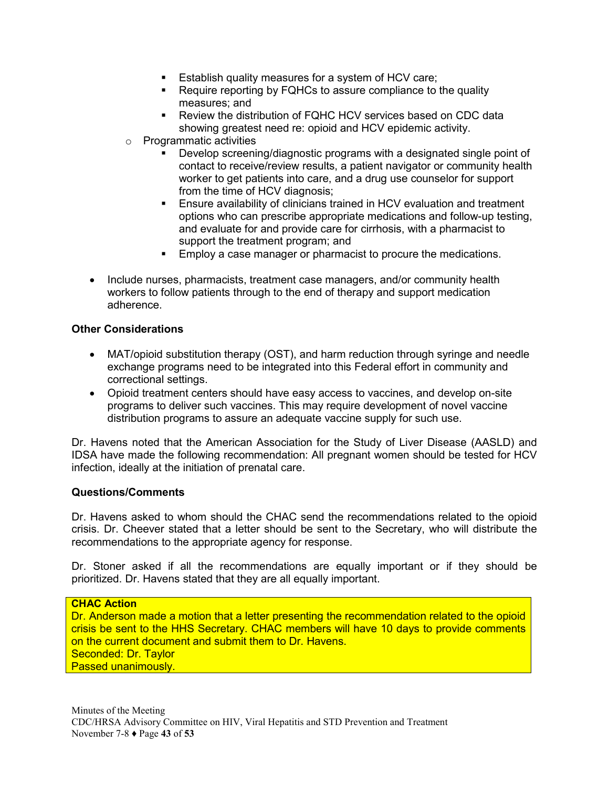- **Establish quality measures for a system of HCV care;**
- Require reporting by FQHCs to assure compliance to the quality measures; and
- Review the distribution of FQHC HCV services based on CDC data showing greatest need re: opioid and HCV epidemic activity.
- o Programmatic activities
	- Develop screening/diagnostic programs with a designated single point of contact to receive/review results, a patient navigator or community health worker to get patients into care, and a drug use counselor for support from the time of HCV diagnosis;
	- Ensure availability of clinicians trained in HCV evaluation and treatment options who can prescribe appropriate medications and follow-up testing, and evaluate for and provide care for cirrhosis, with a pharmacist to support the treatment program; and
	- **Employ a case manager or pharmacist to procure the medications.**
- Include nurses, pharmacists, treatment case managers, and/or community health workers to follow patients through to the end of therapy and support medication adherence.

#### **Other Considerations**

- MAT/opioid substitution therapy (OST), and harm reduction through syringe and needle exchange programs need to be integrated into this Federal effort in community and correctional settings.
- Opioid treatment centers should have easy access to vaccines, and develop on-site programs to deliver such vaccines. This may require development of novel vaccine distribution programs to assure an adequate vaccine supply for such use.

Dr. Havens noted that the American Association for the Study of Liver Disease (AASLD) and IDSA have made the following recommendation: All pregnant women should be tested for HCV infection, ideally at the initiation of prenatal care.

#### **Questions/Comments**

Dr. Havens asked to whom should the CHAC send the recommendations related to the opioid crisis. Dr. Cheever stated that a letter should be sent to the Secretary, who will distribute the recommendations to the appropriate agency for response.

Dr. Stoner asked if all the recommendations are equally important or if they should be prioritized. Dr. Havens stated that they are all equally important.

#### **CHAC Action**

Dr. Anderson made a motion that a letter presenting the recommendation related to the opioid crisis be sent to the HHS Secretary. CHAC members will have 10 days to provide comments on the current document and submit them to Dr. Havens. Seconded: Dr. Taylor Passed unanimously.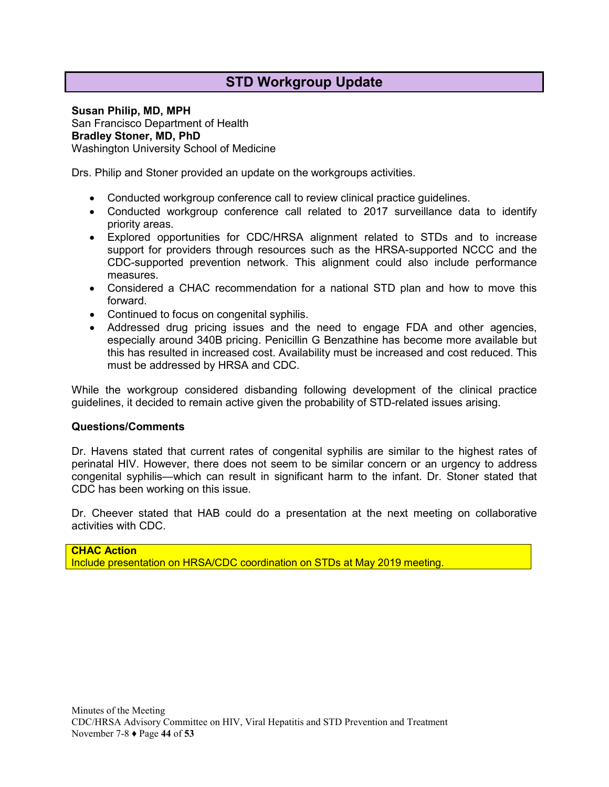### **STD Workgroup Update**

<span id="page-43-0"></span>**Susan Philip, MD, MPH** San Francisco Department of Health **Bradley Stoner, MD, PhD** Washington University School of Medicine

Drs. Philip and Stoner provided an update on the workgroups activities.

- Conducted workgroup conference call to review clinical practice guidelines.
- Conducted workgroup conference call related to 2017 surveillance data to identify priority areas.
- Explored opportunities for CDC/HRSA alignment related to STDs and to increase support for providers through resources such as the HRSA-supported NCCC and the CDC-supported prevention network. This alignment could also include performance measures.
- Considered a CHAC recommendation for a national STD plan and how to move this forward.
- Continued to focus on congenital syphilis.
- Addressed drug pricing issues and the need to engage FDA and other agencies, especially around 340B pricing. Penicillin G Benzathine has become more available but this has resulted in increased cost. Availability must be increased and cost reduced. This must be addressed by HRSA and CDC.

While the workgroup considered disbanding following development of the clinical practice guidelines, it decided to remain active given the probability of STD-related issues arising.

#### **Questions/Comments**

Dr. Havens stated that current rates of congenital syphilis are similar to the highest rates of perinatal HIV. However, there does not seem to be similar concern or an urgency to address congenital syphilis—which can result in significant harm to the infant. Dr. Stoner stated that CDC has been working on this issue.

Dr. Cheever stated that HAB could do a presentation at the next meeting on collaborative activities with CDC.

**CHAC Action** Include presentation on HRSA/CDC coordination on STDs at May 2019 meeting.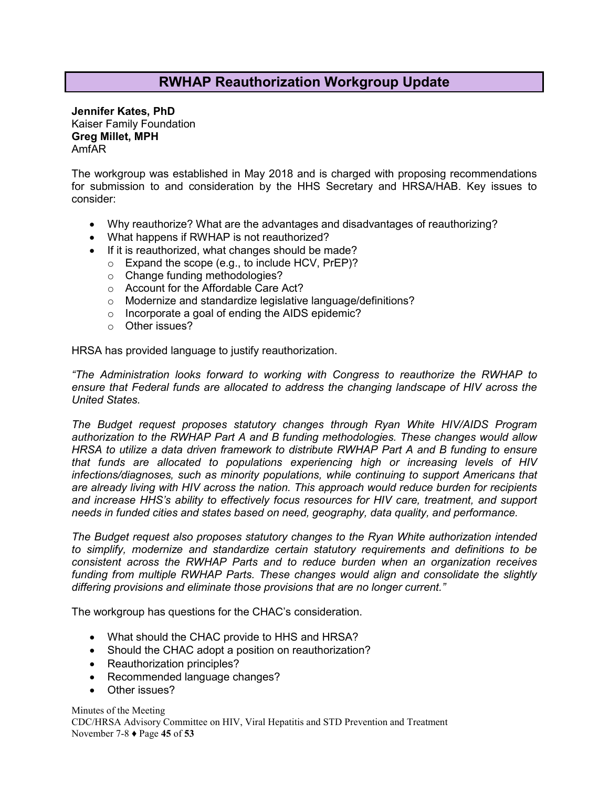### **RWHAP Reauthorization Workgroup Update**

<span id="page-44-0"></span>**Jennifer Kates, PhD** Kaiser Family Foundation **Greg Millet, MPH** AmfAR

The workgroup was established in May 2018 and is charged with proposing recommendations for submission to and consideration by the HHS Secretary and HRSA/HAB. Key issues to consider:

- Why reauthorize? What are the advantages and disadvantages of reauthorizing?
- What happens if RWHAP is not reauthorized?
- If it is reauthorized, what changes should be made?
	- o Expand the scope (e.g., to include HCV, PrEP)?
	- o Change funding methodologies?
	- o Account for the Affordable Care Act?
	- o Modernize and standardize legislative language/definitions?
	- o Incorporate a goal of ending the AIDS epidemic?
	- o Other issues?

HRSA has provided language to justify reauthorization.

*"The Administration looks forward to working with Congress to reauthorize the RWHAP to ensure that Federal funds are allocated to address the changing landscape of HIV across the United States.*

*The Budget request proposes statutory changes through Ryan White HIV/AIDS Program authorization to the RWHAP Part A and B funding methodologies. These changes would allow HRSA to utilize a data driven framework to distribute RWHAP Part A and B funding to ensure that funds are allocated to populations experiencing high or increasing levels of HIV infections/diagnoses, such as minority populations, while continuing to support Americans that are already living with HIV across the nation. This approach would reduce burden for recipients and increase HHS's ability to effectively focus resources for HIV care, treatment, and support needs in funded cities and states based on need, geography, data quality, and performance.*

*The Budget request also proposes statutory changes to the Ryan White authorization intended to simplify, modernize and standardize certain statutory requirements and definitions to be consistent across the RWHAP Parts and to reduce burden when an organization receives funding from multiple RWHAP Parts. These changes would align and consolidate the slightly differing provisions and eliminate those provisions that are no longer current."*

The workgroup has questions for the CHAC's consideration.

- What should the CHAC provide to HHS and HRSA?
- Should the CHAC adopt a position on reauthorization?
- Reauthorization principles?
- Recommended language changes?
- Other issues?

Minutes of the Meeting CDC/HRSA Advisory Committee on HIV, Viral Hepatitis and STD Prevention and Treatment November 7-8 ♦ Page **45** of **53**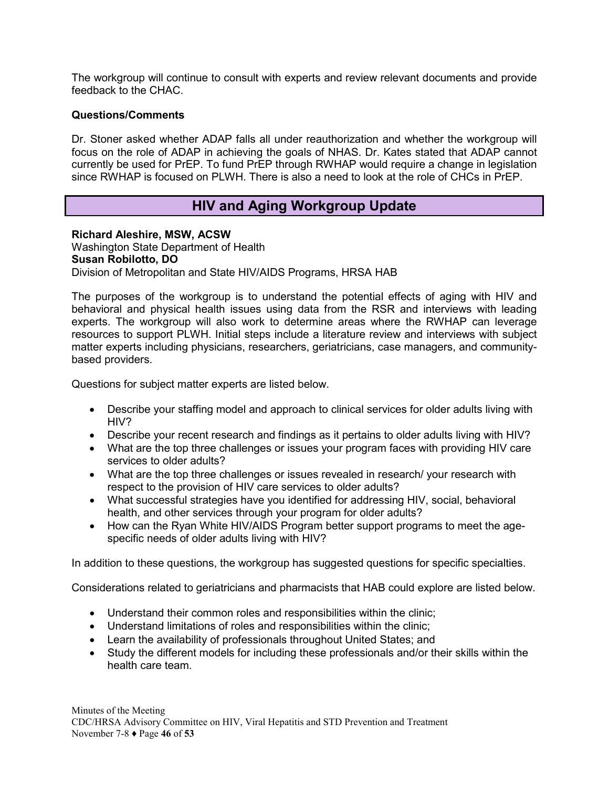The workgroup will continue to consult with experts and review relevant documents and provide feedback to the CHAC.

#### **Questions/Comments**

Dr. Stoner asked whether ADAP falls all under reauthorization and whether the workgroup will focus on the role of ADAP in achieving the goals of NHAS. Dr. Kates stated that ADAP cannot currently be used for PrEP. To fund PrEP through RWHAP would require a change in legislation since RWHAP is focused on PLWH. There is also a need to look at the role of CHCs in PrEP.

### **HIV and Aging Workgroup Update**

#### <span id="page-45-0"></span>**Richard Aleshire, MSW, ACSW**

Washington State Department of Health **Susan Robilotto, DO** Division of Metropolitan and State HIV/AIDS Programs, HRSA HAB

The purposes of the workgroup is to understand the potential effects of aging with HIV and behavioral and physical health issues using data from the RSR and interviews with leading experts. The workgroup will also work to determine areas where the RWHAP can leverage resources to support PLWH. Initial steps include a literature review and interviews with subject matter experts including physicians, researchers, geriatricians, case managers, and communitybased providers.

Questions for subject matter experts are listed below.

- Describe your staffing model and approach to clinical services for older adults living with HIV?
- Describe your recent research and findings as it pertains to older adults living with HIV?
- What are the top three challenges or issues your program faces with providing HIV care services to older adults?
- What are the top three challenges or issues revealed in research/ your research with respect to the provision of HIV care services to older adults?
- What successful strategies have you identified for addressing HIV, social, behavioral health, and other services through your program for older adults?
- How can the Ryan White HIV/AIDS Program better support programs to meet the agespecific needs of older adults living with HIV?

In addition to these questions, the workgroup has suggested questions for specific specialties.

Considerations related to geriatricians and pharmacists that HAB could explore are listed below.

- Understand their common roles and responsibilities within the clinic;
- Understand limitations of roles and responsibilities within the clinic;
- Learn the availability of professionals throughout United States; and
- Study the different models for including these professionals and/or their skills within the health care team.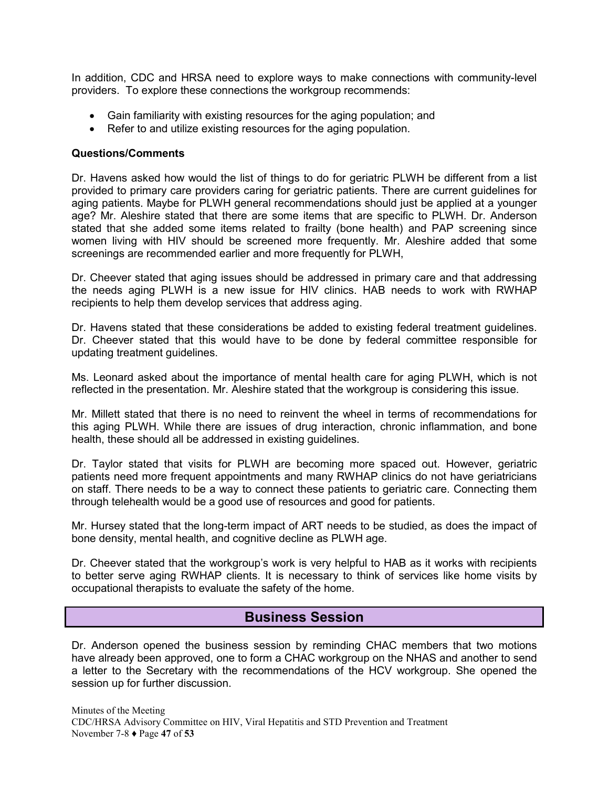In addition, CDC and HRSA need to explore ways to make connections with community-level providers. To explore these connections the workgroup recommends:

- Gain familiarity with existing resources for the aging population; and
- Refer to and utilize existing resources for the aging population.

#### **Questions/Comments**

Dr. Havens asked how would the list of things to do for geriatric PLWH be different from a list provided to primary care providers caring for geriatric patients. There are current guidelines for aging patients. Maybe for PLWH general recommendations should just be applied at a younger age? Mr. Aleshire stated that there are some items that are specific to PLWH. Dr. Anderson stated that she added some items related to frailty (bone health) and PAP screening since women living with HIV should be screened more frequently. Mr. Aleshire added that some screenings are recommended earlier and more frequently for PLWH,

Dr. Cheever stated that aging issues should be addressed in primary care and that addressing the needs aging PLWH is a new issue for HIV clinics. HAB needs to work with RWHAP recipients to help them develop services that address aging.

Dr. Havens stated that these considerations be added to existing federal treatment guidelines. Dr. Cheever stated that this would have to be done by federal committee responsible for updating treatment guidelines.

Ms. Leonard asked about the importance of mental health care for aging PLWH, which is not reflected in the presentation. Mr. Aleshire stated that the workgroup is considering this issue.

Mr. Millett stated that there is no need to reinvent the wheel in terms of recommendations for this aging PLWH. While there are issues of drug interaction, chronic inflammation, and bone health, these should all be addressed in existing guidelines.

Dr. Taylor stated that visits for PLWH are becoming more spaced out. However, geriatric patients need more frequent appointments and many RWHAP clinics do not have geriatricians on staff. There needs to be a way to connect these patients to geriatric care. Connecting them through telehealth would be a good use of resources and good for patients.

Mr. Hursey stated that the long-term impact of ART needs to be studied, as does the impact of bone density, mental health, and cognitive decline as PLWH age.

Dr. Cheever stated that the workgroup's work is very helpful to HAB as it works with recipients to better serve aging RWHAP clients. It is necessary to think of services like home visits by occupational therapists to evaluate the safety of the home.

#### **Business Session**

<span id="page-46-0"></span>Dr. Anderson opened the business session by reminding CHAC members that two motions have already been approved, one to form a CHAC workgroup on the NHAS and another to send a letter to the Secretary with the recommendations of the HCV workgroup. She opened the session up for further discussion.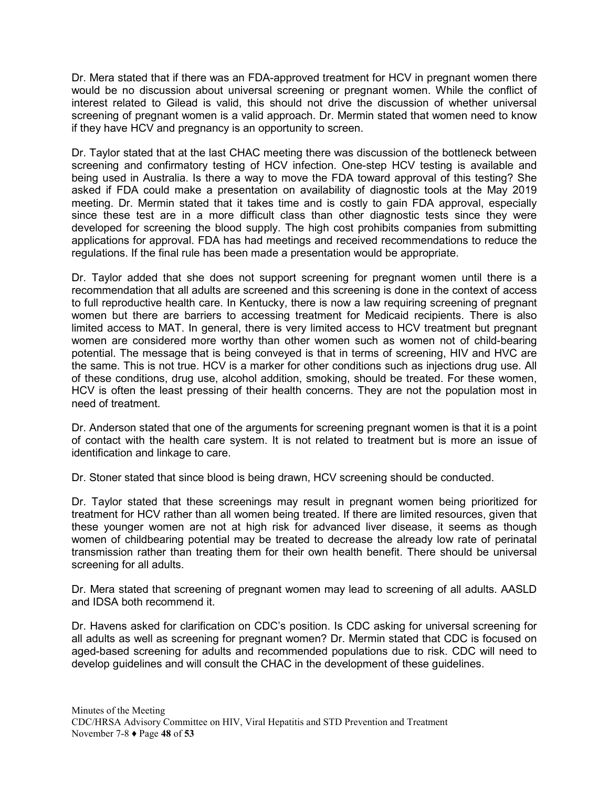Dr. Mera stated that if there was an FDA-approved treatment for HCV in pregnant women there would be no discussion about universal screening or pregnant women. While the conflict of interest related to Gilead is valid, this should not drive the discussion of whether universal screening of pregnant women is a valid approach. Dr. Mermin stated that women need to know if they have HCV and pregnancy is an opportunity to screen.

Dr. Taylor stated that at the last CHAC meeting there was discussion of the bottleneck between screening and confirmatory testing of HCV infection. One-step HCV testing is available and being used in Australia. Is there a way to move the FDA toward approval of this testing? She asked if FDA could make a presentation on availability of diagnostic tools at the May 2019 meeting. Dr. Mermin stated that it takes time and is costly to gain FDA approval, especially since these test are in a more difficult class than other diagnostic tests since they were developed for screening the blood supply. The high cost prohibits companies from submitting applications for approval. FDA has had meetings and received recommendations to reduce the regulations. If the final rule has been made a presentation would be appropriate.

Dr. Taylor added that she does not support screening for pregnant women until there is a recommendation that all adults are screened and this screening is done in the context of access to full reproductive health care. In Kentucky, there is now a law requiring screening of pregnant women but there are barriers to accessing treatment for Medicaid recipients. There is also limited access to MAT. In general, there is very limited access to HCV treatment but pregnant women are considered more worthy than other women such as women not of child-bearing potential. The message that is being conveyed is that in terms of screening, HIV and HVC are the same. This is not true. HCV is a marker for other conditions such as injections drug use. All of these conditions, drug use, alcohol addition, smoking, should be treated. For these women, HCV is often the least pressing of their health concerns. They are not the population most in need of treatment.

Dr. Anderson stated that one of the arguments for screening pregnant women is that it is a point of contact with the health care system. It is not related to treatment but is more an issue of identification and linkage to care.

Dr. Stoner stated that since blood is being drawn, HCV screening should be conducted.

Dr. Taylor stated that these screenings may result in pregnant women being prioritized for treatment for HCV rather than all women being treated. If there are limited resources, given that these younger women are not at high risk for advanced liver disease, it seems as though women of childbearing potential may be treated to decrease the already low rate of perinatal transmission rather than treating them for their own health benefit. There should be universal screening for all adults.

Dr. Mera stated that screening of pregnant women may lead to screening of all adults. AASLD and IDSA both recommend it.

Dr. Havens asked for clarification on CDC's position. Is CDC asking for universal screening for all adults as well as screening for pregnant women? Dr. Mermin stated that CDC is focused on aged-based screening for adults and recommended populations due to risk. CDC will need to develop guidelines and will consult the CHAC in the development of these guidelines.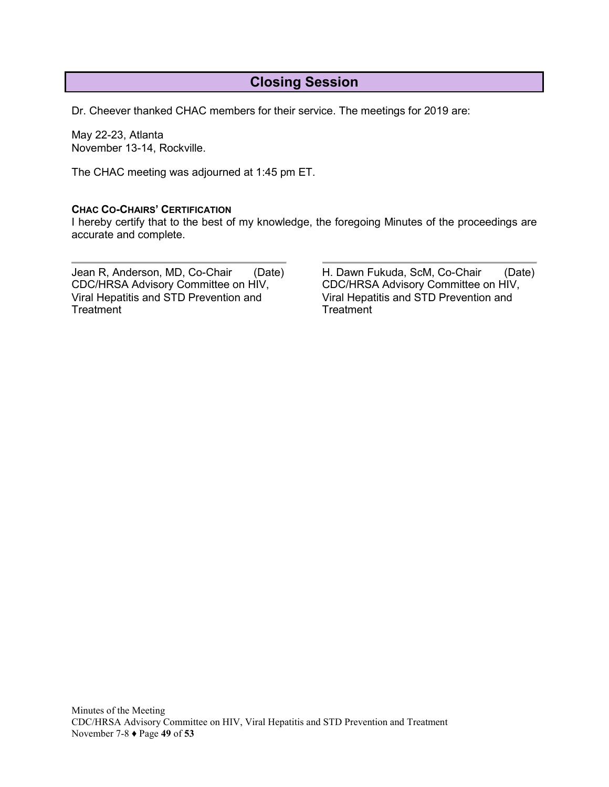### **Closing Session**

<span id="page-48-0"></span>Dr. Cheever thanked CHAC members for their service. The meetings for 2019 are:

May 22-23, Atlanta November 13-14, Rockville.

The CHAC meeting was adjourned at 1:45 pm ET.

#### **CHAC CO-CHAIRS' CERTIFICATION**

I hereby certify that to the best of my knowledge, the foregoing Minutes of the proceedings are accurate and complete.

Jean R, Anderson, MD, Co-Chair CDC/HRSA Advisory Committee on HIV, Viral Hepatitis and STD Prevention and **Treatment** 

(Date) H. Dawn Fukuda, ScM, Co-Chair CDC/HRSA Advisory Committee on HIV, Viral Hepatitis and STD Prevention and **Treatment** (Date)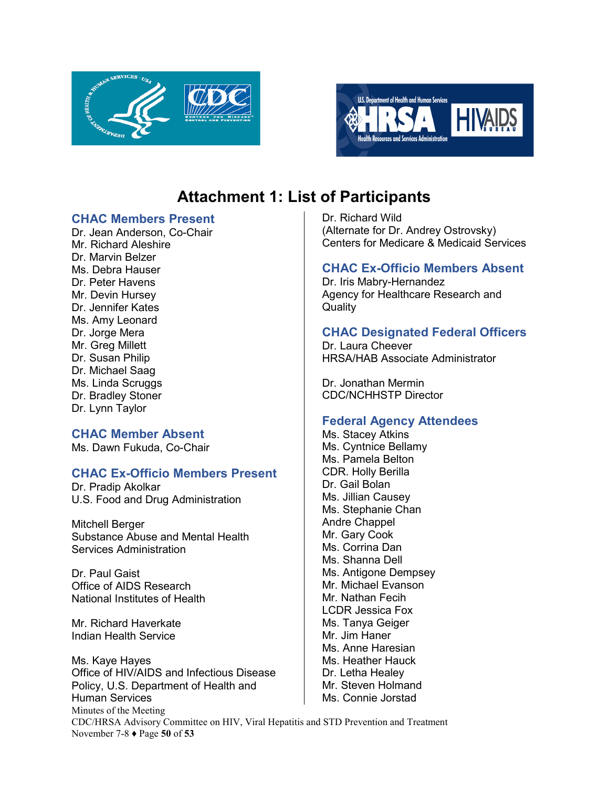



# **Attachment 1: List of Participants**

#### <span id="page-49-0"></span>**CHAC Members Present**

Dr. Jean Anderson, Co-Chair Mr. Richard Aleshire Dr. Marvin Belzer Ms. Debra Hauser Dr. Peter Havens Mr. Devin Hursey Dr. Jennifer Kates Ms. Amy Leonard Dr. Jorge Mera Mr. Greg Millett Dr. Susan Philip Dr. Michael Saag Ms. Linda Scruggs Dr. Bradley Stoner Dr. Lynn Taylor

#### **CHAC Member Absent**

Ms. Dawn Fukuda, Co-Chair

#### **CHAC Ex-Officio Members Present**

Dr. Pradip Akolkar U.S. Food and Drug Administration

Mitchell Berger Substance Abuse and Mental Health Services Administration

Dr. Paul Gaist Office of AIDS Research National Institutes of Health

Mr. Richard Haverkate Indian Health Service

Minutes of the Meeting Ms. Kaye Hayes Office of HIV/AIDS and Infectious Disease Policy, U.S. Department of Health and Human Services

Dr. Richard Wild (Alternate for Dr. Andrey Ostrovsky) Centers for Medicare & Medicaid Services

#### **CHAC Ex-Officio Members Absent**

Dr. Iris Mabry-Hernandez Agency for Healthcare Research and **Quality** 

#### **CHAC Designated Federal Officers**

Dr. Laura Cheever HRSA/HAB Associate Administrator

Dr. Jonathan Mermin CDC/NCHHSTP Director

#### **Federal Agency Attendees**

Ms. Stacey Atkins Ms. Cyntnice Bellamy Ms. Pamela Belton CDR. Holly Berilla Dr. Gail Bolan Ms. Jillian Causey Ms. Stephanie Chan Andre Chappel Mr. Gary Cook Ms. Corrina Dan Ms. Shanna Dell Ms. Antigone Dempsey Mr. Michael Evanson Mr. Nathan Fecih LCDR Jessica Fox Ms. Tanya Geiger Mr. Jim Haner Ms. Anne Haresian Ms. Heather Hauck Dr. Letha Healey Mr. Steven Holmand Ms. Connie Jorstad

CDC/HRSA Advisory Committee on HIV, Viral Hepatitis and STD Prevention and Treatment November 7-8 ♦ Page **50** of **53**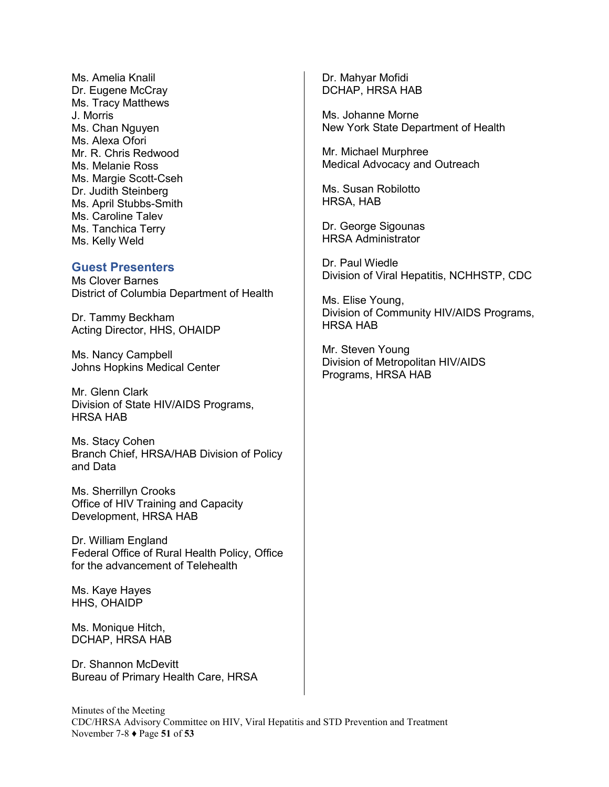Ms. Amelia Knalil Dr. Eugene McCray Ms. Tracy Matthews J. Morris Ms. Chan Nguyen Ms. Alexa Ofori Mr. R. Chris Redwood Ms. Melanie Ross Ms. Margie Scott-Cseh Dr. Judith Steinberg Ms. April Stubbs-Smith Ms. Caroline Talev Ms. Tanchica Terry Ms. Kelly Weld

#### **Guest Presenters**

Ms Clover Barnes District of Columbia Department of Health

Dr. Tammy Beckham Acting Director, HHS, OHAIDP

Ms. Nancy Campbell Johns Hopkins Medical Center

Mr. Glenn Clark Division of State HIV/AIDS Programs, HRSA HAB

Ms. Stacy Cohen Branch Chief, HRSA/HAB Division of Policy and Data

Ms. Sherrillyn Crooks Office of HIV Training and Capacity Development, HRSA HAB

Dr. William England Federal Office of Rural Health Policy, Office for the advancement of Telehealth

Ms. Kaye Hayes HHS, OHAIDP

Ms. Monique Hitch, DCHAP, HRSA HAB

Dr. Shannon McDevitt Bureau of Primary Health Care, HRSA Dr. Mahyar Mofidi DCHAP, HRSA HAB

Ms. Johanne Morne New York State Department of Health

Mr. Michael Murphree Medical Advocacy and Outreach

Ms. Susan Robilotto HRSA, HAB

Dr. George Sigounas HRSA Administrator

Dr. Paul Wiedle Division of Viral Hepatitis, NCHHSTP, CDC

Ms. Elise Young, Division of Community HIV/AIDS Programs, HRSA HAB

Mr. Steven Young Division of Metropolitan HIV/AIDS Programs, HRSA HAB

Minutes of the Meeting CDC/HRSA Advisory Committee on HIV, Viral Hepatitis and STD Prevention and Treatment November 7-8 ♦ Page **51** of **53**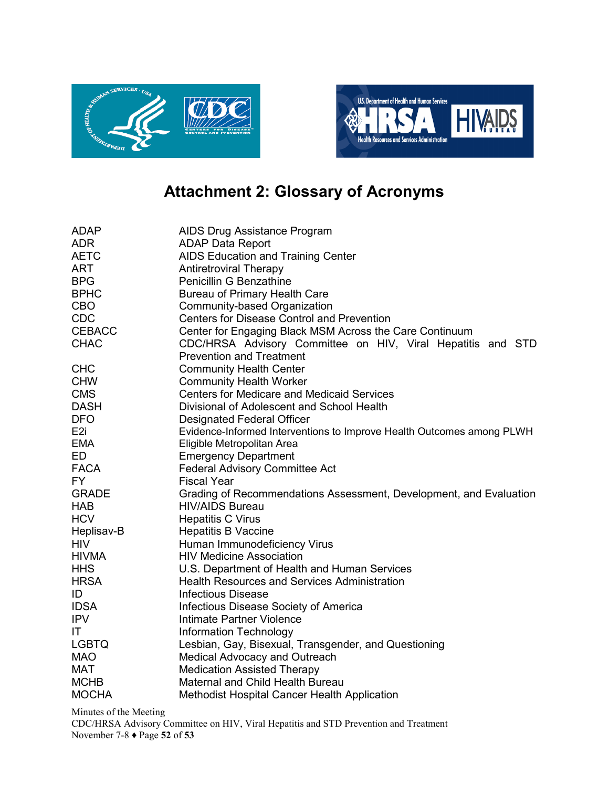



# **Attachment 2: Glossary of Acronyms**

<span id="page-51-0"></span>

| <b>ADAP</b>     | AIDS Drug Assistance Program                                          |
|-----------------|-----------------------------------------------------------------------|
| <b>ADR</b>      | <b>ADAP Data Report</b>                                               |
| <b>AETC</b>     | AIDS Education and Training Center                                    |
| <b>ART</b>      | <b>Antiretroviral Therapy</b>                                         |
| <b>BPG</b>      | Penicillin G Benzathine                                               |
| <b>BPHC</b>     | Bureau of Primary Health Care                                         |
| <b>CBO</b>      | Community-based Organization                                          |
| <b>CDC</b>      | Centers for Disease Control and Prevention                            |
| <b>CEBACC</b>   | Center for Engaging Black MSM Across the Care Continuum               |
| <b>CHAC</b>     | CDC/HRSA Advisory Committee on HIV, Viral Hepatitis and STD           |
|                 | <b>Prevention and Treatment</b>                                       |
| <b>CHC</b>      | <b>Community Health Center</b>                                        |
| <b>CHW</b>      | <b>Community Health Worker</b>                                        |
| <b>CMS</b>      | <b>Centers for Medicare and Medicaid Services</b>                     |
| <b>DASH</b>     | Divisional of Adolescent and School Health                            |
| <b>DFO</b>      | Designated Federal Officer                                            |
| E <sub>2i</sub> | Evidence-Informed Interventions to Improve Health Outcomes among PLWH |
| <b>EMA</b>      | Eligible Metropolitan Area                                            |
| <b>ED</b>       | <b>Emergency Department</b>                                           |
| <b>FACA</b>     | <b>Federal Advisory Committee Act</b>                                 |
| <b>FY</b>       | <b>Fiscal Year</b>                                                    |
| <b>GRADE</b>    | Grading of Recommendations Assessment, Development, and Evaluation    |
| <b>HAB</b>      | <b>HIV/AIDS Bureau</b>                                                |
| <b>HCV</b>      | <b>Hepatitis C Virus</b>                                              |
| Heplisav-B      | <b>Hepatitis B Vaccine</b>                                            |
| <b>HIV</b>      | Human Immunodeficiency Virus                                          |
| <b>HIVMA</b>    | <b>HIV Medicine Association</b>                                       |
| <b>HHS</b>      | U.S. Department of Health and Human Services                          |
| <b>HRSA</b>     | <b>Health Resources and Services Administration</b>                   |
| ID              | <b>Infectious Disease</b>                                             |
| <b>IDSA</b>     | Infectious Disease Society of America                                 |
| <b>IPV</b>      | Intimate Partner Violence                                             |
| IT              | <b>Information Technology</b>                                         |
| <b>LGBTQ</b>    | Lesbian, Gay, Bisexual, Transgender, and Questioning                  |
| <b>MAO</b>      | Medical Advocacy and Outreach                                         |
| MAT             | <b>Medication Assisted Therapy</b>                                    |
| <b>MCHB</b>     | Maternal and Child Health Bureau                                      |
| <b>MOCHA</b>    | <b>Methodist Hospital Cancer Health Application</b>                   |

Minutes of the Meeting

CDC/HRSA Advisory Committee on HIV, Viral Hepatitis and STD Prevention and Treatment November 7-8 ♦ Page **52** of **53**